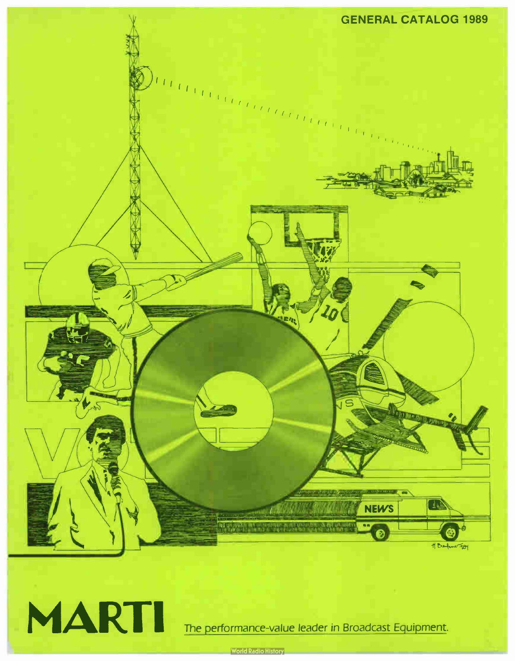



The performance-value leader in Broadcast Equipment.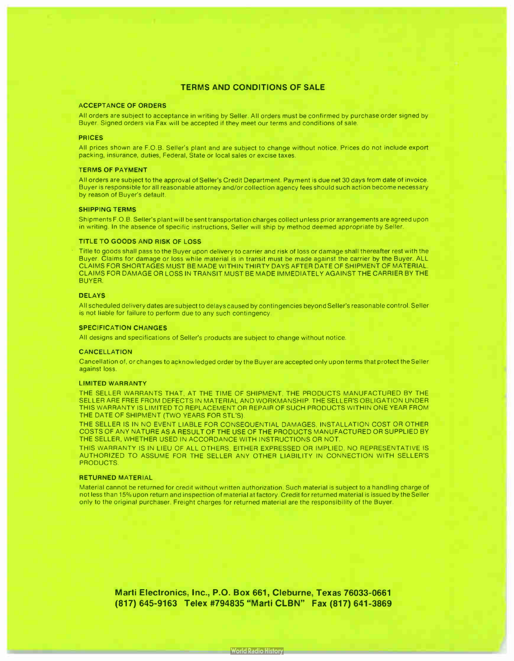## TERMS AND CONDITIONS OF SALE

#### ACCEPTANCE OF ORDERS

All orders are subject to acceptance in writing by Seller. All orders must be confirmed by purchase order signed by Buyer. Signed orders via Fax will be accepted if they meet our terms and conditions of sale.

#### PRICES

All prices shown are F.O.B. Seller's plant and are subject to change without notice. Prices do not include export packing, insurance, duties, Federal, State or local sales or excise taxes.

#### TERMS OF PAYMENT

All orders are subject to the approval of Seller's Credit Department. Payment is due net 30 days from date of invoice. Buyer is responsible for all reasonable attorney and/or collection agency fees should such action become necessary by reason of Buyer's default.

#### SHIPPING TERMS

Shipments F.O.B. Seller's plant will be sent transportation charges collect unless prior arrangements are agreed upon in writing. In the absence of specific instructions, Seller will ship by method deemed appropriate by Seller.

#### TITLE TO GOODS AND RISK OF LOSS

Title to goods shall pass to the Buyer upon delivery to carrier and risk of loss or damage shall thereafter rest with the Buyer. Claims for damage or loss while material is in transit must be made against the carrier by the Buyer. ALL CLAIMS FOR SHORTAGES MUST BE MADE WITHIN THIRTY DAYS AFTER DATE OF SHIPMENT OF MATERIAL. CLAIMS FOR DAMAGE OR LOSS IN TRANSIT MUST BE MADE IMMEDIATELY AGAINST THE CARRIER BY THE BUYER.

#### DELAYS

All scheduled delivery dates are subject to delays caused by contingencies beyond Seller's reasonable control. Seller is not liable for failure to perform due to any such contingency.

#### SPECIFICATION CHANGES

All designs and specifications of Seller's products are subject to change without notice.

#### **CANCELLATION**

Cancellation of, or changes to acknowledged order by the Buyer are accepted only upon terms that protect the Seller against loss.

#### LIMITED WARRANTY

THE SELLER WARRANTS THAT, AT THE TIME OF SHIPMENT, THE PRODUCTS MANUFACTURED BY THE SELLER ARE FREE FROM DEFECTS IN MATERIAL AND WORKMANSHIP. THE SELLER'S OBLIGATION UNDER THIS WARRANTY IS LIMITED TO REPLACEMENT OR REPAIR OF SUCH PRODUCTS WITHIN ONE YEAR FROM THE DATE OF SHIPMENT (TWO YEARS FOR STL'S).

THE SELLER IS IN NO EVENT LIABLE FOR CONSEQUENTIAL DAMAGES, INSTALLATION COST OR OTHER COSTS OF ANY NATURE AS A RESULT OF THE USE OF THE PRODUCTS MANUFACTURED OR SUPPLIED BY THE SELLER, WHETHER USED IN ACCORDANCE WITH INSTRUCTIONS OR NOT.

THIS WARRANTY IS IN LIEU OF ALL OTHERS, EITHER EXPRESSED OR IMPLIED. NO REPRESENTATIVE IS AUTHORIZED TO ASSUME FOR THE SELLER ANY OTHER LIABILITY IN CONNECTION WITH SELLER'S PRODUCTS.

#### RETURNED MATERIAL

Material cannot be returned for credit without written authorization. Such material is subject to a handling charge of not less than 15% upon return and inspection of material at factory. Credit for returned material is issued by the Seller only to the original purchaser. Freight charges for returned material are the responsibility of the Buyer.

> Marti Electronics, Inc., P.O. Box 661, Cleburne, Texas 76033-0661 (817) 645-9163 Telex #794835 " Marti CLBN" Fax ( 817) 641-3869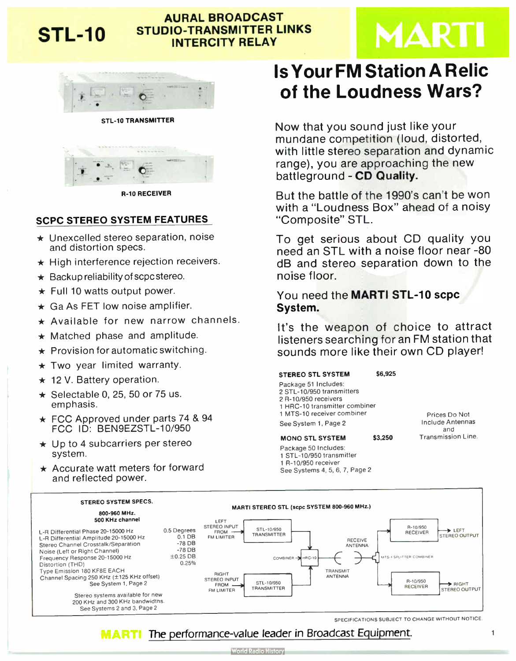## AURAL BROADCAST STL-10 STUDIO-TRANSMITTER LINKS INTERCITY RELAY

# **MARTI**



STL-10 TRANSMITTER



R-10 RECEIVER

## SCPC STEREO SYSTEM FEATURES

- $\star$  Unexcelled stereo separation, noise and distortion specs.
- $\star$  High interference rejection receivers.
- $\star$  Backup reliability of scpc stereo.
- $\star$  Full 10 watts output power.
- $\star$  Ga As FET low noise amplifier.
- $\star$  Available for new narrow channels.
- $\star$  Matched phase and amplitude.
- $\star$  Provision for automatic switching.
- $\star$  Two year limited warranty.
- $\star$  12 V. Battery operation.
- $\star$  Selectable 0, 25, 50 or 75 us. emphasis.
- $\star$  FCC Approved under parts 74 & 94 FCC ID: BEN9EZSTL-10/950
- $\star$  Up to 4 subcarriers per stereo system.
- $\star$  Accurate watt meters for forward and reflected power.

# Is Your FM Station A Relic of the Loudness Wars?

Now that you sound just like your mundane competition (loud, distorted, with little stereo separation and dynamic range), you are approaching the new battleground - CD Quality.

But the battle of the 1990's can't be won with a "Loudness Box" ahead of a noisy "Composite" STL.

To get serious about CD quality you need an STL with a noise floor near - <sup>80</sup> dB and stereo separation down to the noise floor.

You need the MARTI STL-10 scpc System.

It's the weapon of choice to attract listeners searching for an FM station that sounds more like their own CD player!

## STEREO STL SYSTEM \$6,925

Package 51 Includes: 2 STL-10/950 transmitters 2 R-10/950 receivers 1 HRC-10 transmitter combiner 1 MTS-10 receiver combiner See System 1, Page 2

## MONO STL SYSTEM \$3,250

Package 50 Includes: 1 STL-10/950 transmitter 1 R-10/950 receiver See Systems 4, 5, 6, 7, Page 2

Prices Do Not Include Antennas and Transmission Line.



SPECIFICATIONS SUBJECT TO CHANGE WITHOUT NOTICE

#### The performance-value leader in Broadcast Equipment. MARTI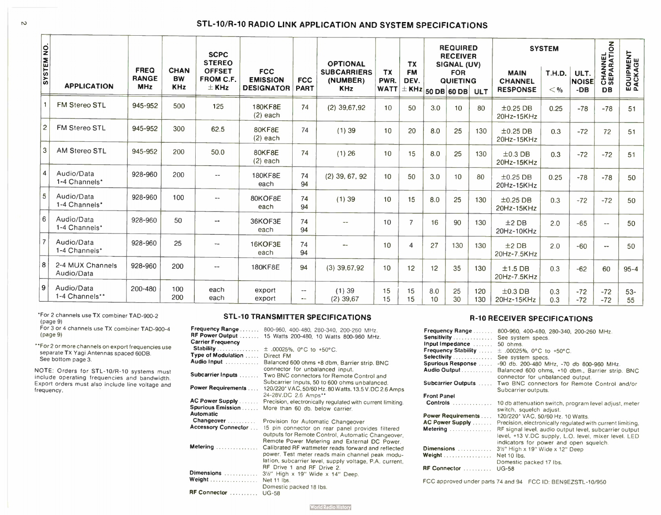## STL-10/R-10 RADIO LINK APPLICATION AND SYSTEM SPECIFICATIONS

| SYSTEM NO.     | <b>APPLICATION</b>             | <b>FREQ</b><br><b>RANGE</b><br><b>MHz</b> | <b>CHAN</b><br><b>BW</b><br><b>KHz</b> | <b>SCPC</b><br><b>STEREO</b><br><b>OFFSET</b><br><b>FROM C.F.</b><br>$\pm$ KHz | <b>FCC</b><br><b>EMISSION</b><br><b>DESIGNATOR</b> | <b>FCC</b><br><b>PART</b>      | <b>OPTIONAL</b><br><b>SUBCARRIERS</b><br>(NUMBER)<br><b>KHz</b> | <b>TX</b><br>PWR.<br><b>WATT</b> | <b>TX</b><br><b>FM</b><br>DEV.<br>$\mathbf{H}^{\pm}$ KHz $ $ 50 DB $ $ 60 DB $ $ |           | <b>REQUIRED</b><br><b>RECEIVER</b><br>SIGNAL (UV)<br><b>FOR</b><br><b>QUIETING</b> | <b>ULT</b> | <b>MAIN</b><br><b>CHANNEL</b><br><b>RESPONSE</b> | <b>SYSTEM</b><br><b>T.H.D.</b><br>< 9/2 | ULT.<br><b>NOISE</b><br>$-DB$ | CHANNEL<br>SEPARATION<br><b>DB</b> | <b>EQUIPMENT</b><br>PACKAGE |
|----------------|--------------------------------|-------------------------------------------|----------------------------------------|--------------------------------------------------------------------------------|----------------------------------------------------|--------------------------------|-----------------------------------------------------------------|----------------------------------|----------------------------------------------------------------------------------|-----------|------------------------------------------------------------------------------------|------------|--------------------------------------------------|-----------------------------------------|-------------------------------|------------------------------------|-----------------------------|
|                | FM Stereo STL                  | 945-952                                   | 500                                    | 125                                                                            | 180KF8E<br>$(2)$ each                              | 74                             | $(2)$ 39,67,92                                                  | 10                               | 50                                                                               | 3.0       | 10                                                                                 | 80         | $\pm 0.25$ DB<br>20Hz-15KHz                      | 0.25                                    | $-78$                         | $-78$                              | 51                          |
| $\overline{c}$ | FM Stereo STL                  | 945-952                                   | 300                                    | 62.5                                                                           | 80KF8E<br>$(2)$ each                               | 74                             | (1)39                                                           | 10                               | 20                                                                               | 8.0       | 25                                                                                 | 130        | $±0.25$ DB<br>20Hz-15KHz                         | 0.3                                     | $-72$                         | 72                                 | 51                          |
| 3              | <b>AM Stereo STL</b>           | 945-952                                   | 200                                    | 50.0                                                                           | 80KF8E<br>$(2)$ each                               | 74                             | $(1)$ 26                                                        | 10                               | 15                                                                               | 8.0       | 25                                                                                 | 130        | $\pm 0.3$ DB<br>20Hz-15KHz                       | 0.3                                     | $-72$                         | $-72$                              | 51                          |
| 14             | Audio/Data<br>1-4 Channels*    | 928-960                                   | 200                                    | $-$                                                                            | 180KF8E<br>each                                    | 74<br>94                       | $(2)$ 39, 67, 92                                                | 10 <sup>°</sup>                  | 50                                                                               | 3.0       | 10                                                                                 | 80         | $±0.25$ DB<br>20Hz-15KHz                         | 0.25                                    | $-78$                         | $-78$                              | 50                          |
| 5              | Audio/Data<br>1-4 Channels*    | 928-960                                   | 100                                    | $\sim$ $\sim$                                                                  | 80KOF8E<br>each                                    | 74<br>94                       | (1)39                                                           | 10                               | 15                                                                               | 8.0       | 25                                                                                 | 130        | $\pm 0.25$ DB<br>20Hz-15KHz                      | 0.3                                     | $-72$                         | $-72$                              | 50                          |
| 6              | Audio/Data<br>1-4 Channels*    | 928-960                                   | 50                                     | $- -$                                                                          | 36KOF3E<br>each                                    | 74<br>94                       |                                                                 | 10                               | $\overline{7}$                                                                   | 16        | 90                                                                                 | 130        | $±2$ DB<br>20Hz-10KHz                            | 2.0                                     | $-65$                         | $\sim$ $\sim$                      | 50                          |
| $\overline{7}$ | Audio/Data<br>1-4 Channels*    | 928-960                                   | 25                                     |                                                                                | 16KOF3E<br>each                                    | 74<br>94                       |                                                                 | 10                               | 4                                                                                | 27        | 130                                                                                | 130        | $±2$ DB<br>20Hz-7.5KHz                           | 2.0                                     | $-60$                         | $\overline{\phantom{a}}$           | 50                          |
| 8              | 2-4 MUX Channels<br>Audio/Data | 928-960                                   | 200                                    | $\overline{\phantom{a}}$                                                       | 180KF8E                                            | 94                             | $(3)$ 39,67,92                                                  | 10                               | 12                                                                               | 12        | 35                                                                                 | 130        | $±1.5$ DB<br>20Hz-7.5KHz                         | 0.3                                     | $-62$                         | 60                                 | $95 - 4$                    |
| 9              | Audio/Data<br>1-4 Channels**   | 200-480                                   | 100<br>200                             | each<br>each                                                                   | export<br>export                                   | $\sim$ $\sim$<br>$\sim$ $\sim$ | (1)39<br>$(2)$ 39.67                                            | 15<br>15                         | 15<br>15                                                                         | 8.0<br>10 | 25<br>30                                                                           | 120<br>130 | $\pm 0.3$ DB<br>20Hz-15KHz                       | 0.3<br>0.3                              | $-72$<br>$-72$                | $-72$<br>$-72$                     | $53 -$<br>55                |

For 2 channels use TX combiner TAD-900-2

(page 9) For 3 or 4 channels use TX combiner TAD-900-4 (page 9)

"For 2 or more channels on export frequencies use separate TX Yagi Antennas spaced 60DB. See bottom page 3.

NOTE: Orders for STL-10/R-10 systems must include operating frequencies and bandwidth. Export orders must also include line voltage and frequency.

## STL-10 TRANSMITTER SPECIFICATIONS

| <b>Frequency Range</b>      | 800-960, 400-480, 280-340, 200-260 MHz.                    |
|-----------------------------|------------------------------------------------------------|
| RF Power Output             | 15 Watts 200-480, 10 Watts 800-960 MHz.                    |
| <b>Carrier Frequency</b>    |                                                            |
| Stability                   | $\pm$ .00025%. 0°C to +50°C.                               |
| Type of Modulation          | Direct FM                                                  |
| Audio Input                 |                                                            |
|                             | Balanced 600 ohms +8 dbm, Barrier strip. BNC               |
|                             | connector for unbalanced input.                            |
| Subcarrier Inputs           | Two BNC connectors for Remote Control and                  |
|                             | Subcarrier Inputs, 50 to 600 ohms unbalanced.              |
| Power Requirements          | 120/220* VAC, 50/60 Hz. 80 Watts. 13.5 V.DC 2.6 Amps       |
|                             | 24-28V.DC 2.6 Amps**                                       |
| AC Power Supply             | Precision, electronically regulated with current limiting. |
| <b>Spurious Emission </b>   | More than 60 db, below carrier.                            |
| <b>Automatic</b>            |                                                            |
| Changeover                  | Provision for Automatic Changeover                         |
| <b>Accessory Connector </b> | 15 pin connector on rear panel provides filtered           |
|                             | outputs for Remote Control, Automatic Changeover,          |
|                             |                                                            |
|                             | Remote Power Metering and External DC Power.               |
| Metering                    | Calibrated RF wattmeter reads forward and reflected        |
|                             | power. Test meter reads main channel peak modu-            |
|                             | lation, subcarrier level, supply voltage, P.A. current,    |
|                             | RF Drive 1 and RF Drive 2.                                 |
| Dimensions                  | 3½" High x 19" Wide x 14" Deep.                            |
| Weight                      | Net 11 lbs.                                                |
|                             |                                                            |
| RF Connector                | Domestic packed 18 lbs.                                    |

## R-10 RECEIVER SPECIFICATIONS

| <b>Frequency Range</b>            | 800-960, 400-480, 280-340, 200-260 MHz.                    |
|-----------------------------------|------------------------------------------------------------|
| Sensitivity                       | See system specs.                                          |
| Input Impedance                   | 50 ohms.                                                   |
| <b>Frequency Stability </b>       | $\pm$ .00025%. 0°C to +50°C.                               |
| Selectivity                       | See system specs.                                          |
| <b>Spurious Response </b>         | -90 db. 200-480 MHz, -70 db 800-960 MHz.                   |
| Audio Output                      | Balanced 600 ohms, +10 dbm., Barrier strip. BNC            |
|                                   | connector for unbalanced output.                           |
| <b>Subcarrier Outputs Adviced</b> | Two BNC connectors for Remote Control and/or               |
|                                   |                                                            |
| <b>Front Panel</b>                | Subcarrier outputs.                                        |
|                                   |                                                            |
|                                   |                                                            |
| Controls                          | 10 db attenuation switch, program level adjust, meter      |
|                                   | switch, squelch adjust.                                    |
| <b>Power Requirements</b>         | 120/220* VAC, 50/60 Hz, 10 Watts.                          |
| <b>AC Power Supply </b>           |                                                            |
|                                   | Precision, electronically regulated with current limiting. |
| Metering                          | RF signal level, audio output level, subcarrier output     |
|                                   | level, +13 V.DC supply, L.O. level, mixer level. LED       |
|                                   | indicators for power and open squelch.                     |
| Dimensions                        | 3½" High x 19" Wide x 12" Deep                             |
| Weight                            | Net 10 lbs.                                                |
| RF Connector                      | Domestic packed 17 lbs.<br>$UG-58$                         |

FCC approved under parts 74 and 94 FCC ID: BEN9EZSTL-10/950



 $\Box$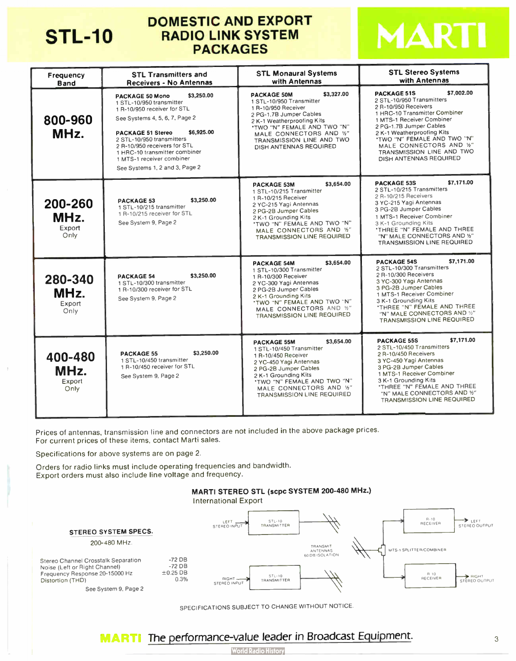

## DOMESTIC AND EXPORT STL-10 RADIO LINK SYSTEM PACKAGES



| Frequency<br><b>Band</b>          | <b>STL Transmitters and</b><br><b>Receivers - No Antennas</b>                                                                                                                                                                                                                                                                            | <b>STL Monaural Systems</b><br>with Antennas                                                                                                                                                                                                                   | <b>STL Stereo Systems</b><br>with Antennas                                                                                                                                                                                                                                                                                     |
|-----------------------------------|------------------------------------------------------------------------------------------------------------------------------------------------------------------------------------------------------------------------------------------------------------------------------------------------------------------------------------------|----------------------------------------------------------------------------------------------------------------------------------------------------------------------------------------------------------------------------------------------------------------|--------------------------------------------------------------------------------------------------------------------------------------------------------------------------------------------------------------------------------------------------------------------------------------------------------------------------------|
| 800-960<br>MHz.                   | \$3,250.00<br><b>PACKAGE 50 Mono</b><br>1 STL-10/950 transmitter<br>1 R-10/950 receiver for STL<br>See Systems 4, 5, 6, 7, Page 2<br>\$6,925.00<br><b>PACKAGE 51 Stereo</b><br>2 STL-10/950 transmitters<br>2 R-10/950 receivers for STL<br>1 HRC-10 transmitter combiner<br>1 MTS-1 receiver combiner<br>See Systems 1, 2 and 3, Page 2 | \$3,327.00<br><b>PACKAGE 50M</b><br>1 STL-10/950 Transmitter<br>1 R-10/950 Receiver<br>2 PG-1.7B Jumper Cables<br>2 K-1 Weatherproofing Kits<br>*TWO "N" FEMALE AND TWO "N"<br>MALE CONNECTORS AND 1/2"<br>TRANSMISSION LINE AND TWO<br>DISH ANTENNAS REQUIRED | \$7,002.00<br><b>PACKAGE 51S</b><br>2 STL-10/950 Transmitters<br>2 R-10/950 Receivers<br>1 HRC-10 Transmitter Combiner<br>1 MTS-1 Receiver Combiner<br>2 PG-1.7B Jumper Cables<br>2 K-1 Weatherproofing Kits<br>'TWO "N" FEMALE AND TWO "N"<br>MALE CONNECTORS AND 1/2"<br>TRANSMISSION LINE AND TWO<br>DISH ANTENNAS REQUIRED |
| 200-260<br>MHz.<br>Export<br>Only | \$3,250.00<br><b>PACKAGE 53</b><br>1 STL-10/215 transmitter<br>1 R-10/215 receiver for STL<br>See System 9, Page 2                                                                                                                                                                                                                       | \$3,654.00<br><b>PACKAGE 53M</b><br>1 STL-10/215 Transmitter<br>1 R-10/215 Receiver<br>2 YC-215 Yagi Antennas<br>2 PG-2B Jumper Cables<br>2 K-1 Grounding Kits<br>"TWO "N" FEMALE AND TWO "N"<br>MALE CONNECTORS AND 1/2"<br>TRANSMISSION LINE REQUIRED        | \$7.171.00<br><b>PACKAGE 53S</b><br>2 STL-10/215 Transmitters<br>2 R-10/215 Receivers<br>3 YC-215 Yaqi Antennas<br>3 PG-2B Jumper Cables<br>1 MTS-1 Receiver Combiner<br>3 K-1 Grounding Kits<br>'THREE "N" FEMALE AND THREE<br>"N" MALE CONNECTORS AND %"<br><b>TRANSMISSION LINE REQUIRED</b>                                |
| 280-340<br>MHz.<br>Export<br>Only | \$3,250.00<br><b>PACKAGE 54</b><br>1 STL-10/300 transmitter<br>1 R-10/300 receiver for STL<br>See System 9, Page 2                                                                                                                                                                                                                       | \$3,654.00<br><b>PACKAGE 54M</b><br>1 STL-10/300 Transmitter<br>1 R-10/300 Receiver<br>2 YC-300 Yagi Antennas<br>2 PG-2B Jumper Cables<br>2 K-1 Grounding Kits<br>*TWO "N" FEMALE AND TWO "N"<br>MALE CONNECTORS AND %"<br>TRANSMISSION LINE REQUIRED          | \$7,171.00<br><b>PACKAGE 54S</b><br>2 STL-10/300 Transmitters<br>2 R-10/300 Receivers<br>3 YC-300 Yagi Antennas<br>3 PG-2B Jumper Cables<br>1 MTS-1 Receiver Combiner<br>3 K-1 Grounding Kits<br>'THREE "N" FEMALE AND THREE<br>"N" MALE CONNECTORS AND 1/2"<br>TRANSMISSION LINE REQUIRED                                     |
| 400-480<br>MHz.<br>Export<br>Only | \$3,250.00<br><b>PACKAGE 55</b><br>1 STL-10/450 transmitter<br>1 R-10/450 receiver for STL<br>See System 9, Page 2                                                                                                                                                                                                                       | \$3,654.00<br><b>PACKAGE 55M</b><br>1 STL-10/450 Transmitter<br>1 R-10/450 Receiver<br>2 YC-450 Yaqi Antennas<br>2 PG-2B Jumper Cables<br>2 K-1 Grounding Kits<br>'TWO "N" FEMALE AND TWO "N"<br>MALE CONNECTORS AND 1/2"<br>TRANSMISSION LINE REQUIRED        | \$7,171.00<br><b>PACKAGE 55S</b><br>2 STL-10/450 Transmitters<br>2 R-10/450 Receivers<br>3 YC-450 Yaqi Antennas<br>3 PG-2B Jumper Cables<br>1 MTS-1 Receiver Combiner<br>3 K-1 Grounding Kits<br><b><i>'THREE "N" FEMALE AND THREE</i></b><br>"N" MALE CONNECTORS AND '%"<br>TRANSMISSION LINE REQUIRED                        |

Prices of antennas, transmission line and connectors are not included in the above package prices. For current prices of these items, contact Marti sales.

Specifications for above systems are on page 2.

Orders for radio lirks must include operating frequencies and bandwidth. Export orders must also include line voltage and frequency.



International Export



SPECIFICATIONS SUBJECT TO CHANGE WITHOUT NOTICE

## **MARTI** The performance-value leader in Broadcast Equipment.

4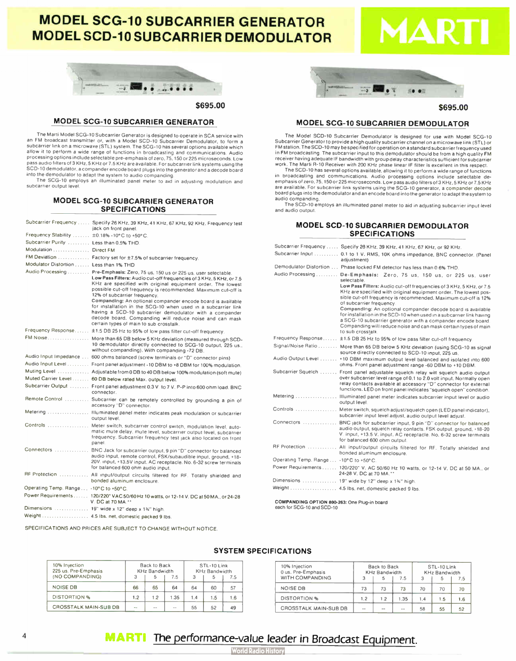## MODEL SCG-10 SUBCARRIER GENERATOR **MODEL SCD-10 SUBCARRIER DEMODULATOR**



\$695.00

## MODEL SCG-10 SUBCARRIER GENERATOR

The Marti Model SCG-10 Subcarrier Generator is designed to operate in SCA service with an FM broadcast transmitter or, with a Model SCD-10 Subcarrier Demodulator, to form a<br>subcarrier link on a microwave(STL) system.The SCG-10 has several options available which<br>allow it to perform a wide range of functions processing options include selectable pre-emphasis of zero, 75,150 or 225 microseconds. Low pass audio filters of 3 KHz. 5 KHz or 7.5 KHz are available. For subcarrier link systems using the SCD-10 demodulator, a compander encode board plugs into the generator and a decode board into the demodulator to adapt the system to audio companding. The SCG-10 employs an illuminated panel meter to aid in adjusting modulation and

subcarrier output level

## MODEL SCG-10 SUBCARRIER GENERATOR SPECIFICATIONS

|                                             | Subcarrier Frequency  Specify 26 KHz, 39 KHz, 41 KHz, 67 KHz, 92 KHz, Frequency test<br>jack on front panel.                                                                                                                                                                                                                                                                          |
|---------------------------------------------|---------------------------------------------------------------------------------------------------------------------------------------------------------------------------------------------------------------------------------------------------------------------------------------------------------------------------------------------------------------------------------------|
| Frequency Stability  ±0.18% -10°C to +50°C. |                                                                                                                                                                                                                                                                                                                                                                                       |
| Subcarrier Purity  Less than 0.5% THD.      |                                                                                                                                                                                                                                                                                                                                                                                       |
| Modulation  Direct FM                       |                                                                                                                                                                                                                                                                                                                                                                                       |
|                                             | FM Deviation  Factory set for ±7.5% of subcarrier frequency.                                                                                                                                                                                                                                                                                                                          |
| Modulator Distortion  Less than 1% THD      |                                                                                                                                                                                                                                                                                                                                                                                       |
|                                             | Audio Processing  Pre-Emphasis: Zero, 75 us, 150 us or 225 us, user selectable.<br>Low Pass Filters: Audio cut-off frequencies of 3 KHz, 5 KHz, or 7.5<br>KHz are specified with original equipment order. The lowest<br>possible cut-off frequency is recommended. Maximum cut-off is<br>12% of subcarrier frequency.<br>Companding: An optional compander encode board is available |
|                                             | for installation in the SCG-10 when used in a subcarrier link<br>having a SCD-10 subcarrier demodulator with a compander<br>decode board. Companding will reduce noise and can mask<br>certain types of main to sub crosstalk.                                                                                                                                                        |
|                                             | Frequency Response ±1.5 DB 25 Hz to 95% of low pass filter cut-off frequency.                                                                                                                                                                                                                                                                                                         |
|                                             | FM Noise More than 65 DB below 5 KHz deviation (measured through SCD-<br>10 demodulator directly connected to SCG-10 output, 225 us<br>without companding). With companding -72 DB.                                                                                                                                                                                                   |
|                                             | Audio Input Impedance  600 ohms balanced (screw terminals or "D" connector pins)                                                                                                                                                                                                                                                                                                      |
|                                             | Audio Input Level  Front panel adjustment -10 DBM to +8 DBM for 100% modulation.                                                                                                                                                                                                                                                                                                      |
|                                             | Muting Level  Adjustable from 0 DB to 40 DB below 100% modulation (soft mute)                                                                                                                                                                                                                                                                                                         |
|                                             | Muted Carrier Level  60 DB below rated Max. output level.                                                                                                                                                                                                                                                                                                                             |
|                                             | Subcarrier Output  Front panel adjustment 0.3 V. to 7 V. P-P into 600 ohm load. BNC<br>connector.                                                                                                                                                                                                                                                                                     |
|                                             | Remote Control  Subcarrier can be remotely controlled by grounding a pin of<br>accessory "D" connector.                                                                                                                                                                                                                                                                               |
|                                             | Metering  Illuminated panel meter indicates peak modulation or subcarrier<br>output level.                                                                                                                                                                                                                                                                                            |
|                                             | Controls  Meter switch, subcarrier control switch, modulation level, auto-<br>matic mute delay, mute level, subcarrier output level, subcarrier<br>frequency. Subcarrier frequency test jack also located on front<br>panel.                                                                                                                                                          |
|                                             | Connectors  BNC Jack for subcarrier output, 9 pin "D" connector for balanced<br>audio input, remote control, FSK/subaudible input, ground, +18-<br>20V. input, +13.5V input. AC receptacle. No. 6-32 screw terminals<br>for balanced 600 ohm audio input.                                                                                                                             |
|                                             | RF Protection  All input/output circuits filtered for RF. Totally shielded and<br>bonded aluminum enclosure.                                                                                                                                                                                                                                                                          |
| Operating Temp. Range  -10°C to +50°C.      |                                                                                                                                                                                                                                                                                                                                                                                       |
|                                             | Power Requirements 120/220* VAC 50/60 Hz 10 watts, or 12-14 V. DC at 50 MA., or 24-28<br>V. DC at 70 MA.**                                                                                                                                                                                                                                                                            |
|                                             | Dimensions  19" wide x 12" deep x 1%" high.                                                                                                                                                                                                                                                                                                                                           |
|                                             | Weight  4.5 lbs. net, domestic packed 9 lbs.                                                                                                                                                                                                                                                                                                                                          |

SPECIFICATIONS AND PRICES ARE SUBJECT TO CHANGE WITHOUT NOTICE.



S695.00

## MODEL SCG-10 SUBCARRIER DEMODULATOR

The Model SCD-10 Subcarrier Demodulator is designed for use with Model SCG-10 Subcarrier Generator to provide a high quality subcarrier channel on a microwave link ( STL) or FM station. The SCD-10 may be specified for operation on a standard subcarrier frequency used in FM broadcasting. The subcarrier input to operation on a standard subcarrier frequency used<br>in FM broadcasting. The subcarrier input to this demodulator should be from a high quality FM<br>receiver having adequate IF bandwi

exerting acceptance in paramount with group delay characteristics surfice in the Marti R-10 Receiver with 200 KHz phase linear IF filter is excellent in this respect.<br>The SCD-10 has several options available, allowing it t board plugs into the demodulator and an encode board into the generator to adapt the system to audio companding.

The SCD-10 employs an illuminated panel meter to aid in adjusting subcarrier input level and audio output.

## MODEL SCD-10 SUBCARRIER DEMODULATOR SPECIFICATIONS

|                                        | Subcarrier Frequency  Specify 26 KHz, 39 KHz, 41 KHz, 67 KHz, or 92 KHz.                                                                                                                                                                                                                                                                                                                                                                                                                                                                                                                                                  |
|----------------------------------------|---------------------------------------------------------------------------------------------------------------------------------------------------------------------------------------------------------------------------------------------------------------------------------------------------------------------------------------------------------------------------------------------------------------------------------------------------------------------------------------------------------------------------------------------------------------------------------------------------------------------------|
|                                        | Subcarrier Input  0.1 to 1 V. RMS, 10K ohms impedance, BNC connector. (Panel<br>adjustment)                                                                                                                                                                                                                                                                                                                                                                                                                                                                                                                               |
|                                        | Demodulator Distortion  Phase locked FM detector has less than 0.6% THD.                                                                                                                                                                                                                                                                                                                                                                                                                                                                                                                                                  |
|                                        | Audio Processing De-Emphasis: Zero, 75 us, 150 us, or 225 us, user<br>selectable.<br>Low Pass Filters: Audio cut-off frequencies of 3 KHz, 5 KHz, or 7.5<br>KHz are specified with original equipment order. The lowest pos-<br>sible cut-off frequency is recommended. Maximum cut-off is 12%<br>of subcarrier frequency.<br>Companding: An optional compander decode board is available<br>for installation in the SCD-10 when used in a subcarrier link having<br>a SCG-10 subcarrier generator with a compander encode board.<br>Companding will reduce noise and can mask certain types of main<br>to sub crosstalk. |
|                                        | Frequency Response ±1.5 DB 25 Hz to 95% of low pass filter cut-off frequency.                                                                                                                                                                                                                                                                                                                                                                                                                                                                                                                                             |
|                                        | Signal/Noise Ratio  More than 65 DB below 5 KHz deviation (using SCG-10 as signal<br>source directly connected to SCD-10 input, 225 us.                                                                                                                                                                                                                                                                                                                                                                                                                                                                                   |
|                                        | Audio Output Level  +10 DBM maximum output level balanced and isolated into 600<br>ohms. Front panel adjustment range -60 DBM to +10 DBM.                                                                                                                                                                                                                                                                                                                                                                                                                                                                                 |
|                                        | Subcarrier Squelch , Front panel adjustable squelch relay will squelch audio output<br>over subcarrier level range of 0.1 to 2.0 volt input. Normally open<br>relay contacts available at accessory "D" connector for external<br>functions. LED on front panel indicates "squelch open" condition.                                                                                                                                                                                                                                                                                                                       |
|                                        | Metering  Illuminated panel meter indicates subcarrier input level or audio<br>output level.                                                                                                                                                                                                                                                                                                                                                                                                                                                                                                                              |
|                                        | subcarrier input level adjust, audio output level adjust.                                                                                                                                                                                                                                                                                                                                                                                                                                                                                                                                                                 |
|                                        | Connectors  BNC jack for subcarrier input, 9 pin "D" connector for balanced<br>audio output, squelch relay contacts. FSK output, ground, +18-20<br>V. input, +13.5 V. input. AC receptacle. No. 6-32 screw terminals<br>for balanced 600 ohm output.                                                                                                                                                                                                                                                                                                                                                                      |
|                                        | RF Protection  All input/output circuits filtered for RF. Totally shielded and<br>bonded aluminum enclosure.                                                                                                                                                                                                                                                                                                                                                                                                                                                                                                              |
| Operating Temp. Range  -10°C to +50°C. |                                                                                                                                                                                                                                                                                                                                                                                                                                                                                                                                                                                                                           |
|                                        | Power Requirements 120/220" V. AC 50/60 Hz 10 watts, or 12-14 V. DC at 50 MA., or<br>24-28 V. DC at 70 MA."                                                                                                                                                                                                                                                                                                                                                                                                                                                                                                               |
|                                        | Dimensions  19" wide by 12" deep x 1%" high.                                                                                                                                                                                                                                                                                                                                                                                                                                                                                                                                                                              |
|                                        | Weight  4.5 lbs. net, domestic packed 9 lbs.                                                                                                                                                                                                                                                                                                                                                                                                                                                                                                                                                                              |

COMPANDING OPTION 800-283: One Plug-in board each for SCG-10 and SCD-10

## SYSTEM SPECIFICATIONS

| 10% Injection<br>225 us. Pre-Emphasis<br>(NO COMPANDING) |     | Back to Back<br><b>KHz Bandwidth</b> | $-5$ |     | STL-10 Link<br><b>KHz Bandwidth</b> | 7.5 | 10% Injection<br>0 us. Pre-Emphasis<br>WITH COMPANDING |           | Back to Back<br><b>KHz Bandwidth</b> | '.5    |     | STL-10 Link<br>KHz Bandwidth |
|----------------------------------------------------------|-----|--------------------------------------|------|-----|-------------------------------------|-----|--------------------------------------------------------|-----------|--------------------------------------|--------|-----|------------------------------|
| NOISE DB                                                 | 66  | 65                                   | 64   | 64  | 60                                  | 57  | NOISE DB                                               | フロ<br>, , | 73                                   | 73     | 70  | 70                           |
| DISTORTION %                                             | 1.2 | $\cdot$                              | .35  | 1.4 | .5                                  | .6  | <b>DISTORTION %</b>                                    | -2        | 1.2                                  | .35    | . 4 | .5                           |
| <b>CROSSTALK MAIN-SUB DB</b>                             | --  | $-$                                  | $-$  | 55  | 52                                  | 49  | <b>CROSSTALK MAIN-SUB DB</b>                           | $\sim$    | $-$                                  | $\sim$ | 58  | 55                           |

## <sup>4</sup> MARTI The performance-value leader in Broadcast Equipment.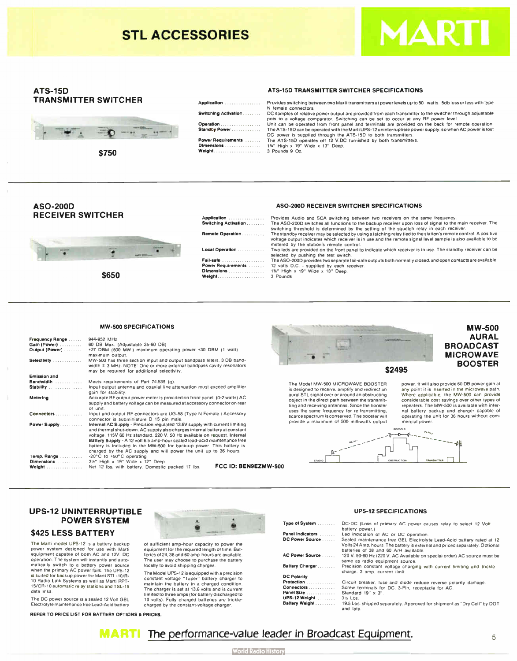

## ATS-15D TRANSMITTER SWITCHER



\$750

| Application                      |  |
|----------------------------------|--|
| Switching Activation             |  |
| Operation<br>Standby Power       |  |
| Power Requirements<br>Dimensions |  |
| Weight                           |  |

ATS-15D TRANSMITTER SWITCHER SPECIFICATIONS

Provides switching between two Marti transmitters at power levels up to 50 watts. .5db loss or less with type female connectors. DC samples of relative power output are provided from each transmitter to the switcher through adjustable pots to a voltage comparator. Switching can be set to occur at any RF power level.<br>pots to a voltage comparator. Switching can be set to occur at any RF power level.<br>Unit can be operated from front panel and terminals are Operation Unit can be operated from front panel and terminals are provided on the back for remote operation. Standby Power The ATS-15D can be operated with the Marti UPS- 12 uninterruptible power supply, so when AC power is lost DC power is supplied through the ATS-15D to both transmitters. Power Requirements The ATS-15D operates off 12 V.DC furnished by both transmitters. Dimensions 13/<sup>4</sup> " High x 19" Wide x 13" Deep. Weight 3 Pounds 9 Oz.

## ASO -200D RECEIVER SWITCHER



\$650

| A <b>pplication</b>         | Provides Audio and SCA switching between two receivers on the same frequency.                                                                                                                                                                                               |
|-----------------------------|-----------------------------------------------------------------------------------------------------------------------------------------------------------------------------------------------------------------------------------------------------------------------------|
| <b>Switching Activation</b> | The ASO-200D switches all functions to the backup receiver upon loss of signal to the main receiver. The<br>switching threshold is determined by the setting of the squelch relay in each receiver.                                                                         |
| Remote Operation            | The standby receiver may be selected by using a latching relay tied to the station's remote control. A positive<br>voltage output indicates which receiver is in use and the remote signal level sample is also available to be<br>metered by the station's remote control. |
| Local Operation             | Two leds are provided on the front panel to indicate which receiver is in use. The standby receiver can be<br>selected by pushing the test switch.                                                                                                                          |
| Fail-safe                   | The ASO-200D provides two separate fail-safe outputs both normally closed, and open contacts are available.                                                                                                                                                                 |
| Power Requirements          | 12 volts D.C. - supplied by each receiver.                                                                                                                                                                                                                                  |
| Dimensions                  | 1%" High x 19" Wide x 13" Deep.                                                                                                                                                                                                                                             |
|                             | 3 Pounds                                                                                                                                                                                                                                                                    |
|                             |                                                                                                                                                                                                                                                                             |

ASO -200D RECEIVER SWITCHER SPECIFICATIONS

#### **MW-500 SPECIFICATIONS**

| <b>Frequency Range</b><br>Gain (Power)<br>Output (Power).<br>Selectivity | 944-952 MHz.<br>60 DB Max. (Adjustable 35-60 DB)<br>+27 DBM (500 MW.) maximum operating power +30 DBM (1 watt)<br>maximum output.<br>MW-500 has three section input and output bandpass filters. 3 DB band-                                                                                                         |                                                                                                                                                                                                                                |
|--------------------------------------------------------------------------|---------------------------------------------------------------------------------------------------------------------------------------------------------------------------------------------------------------------------------------------------------------------------------------------------------------------|--------------------------------------------------------------------------------------------------------------------------------------------------------------------------------------------------------------------------------|
|                                                                          | width ± 3 MHz. NOTE: One or more external bandpass cavity resonators<br>may be required for additional selectivity.                                                                                                                                                                                                 | \$2495                                                                                                                                                                                                                         |
| <b>Emission and</b>                                                      |                                                                                                                                                                                                                                                                                                                     |                                                                                                                                                                                                                                |
| <b>Bandwidth</b><br><b>Stability</b>                                     | Meets requirements of Part 74.535 (g).<br>Input-output antenna and coaxial line attenuation must exceed amplifier<br>gain for stability.                                                                                                                                                                            | The Model MW-500 MICROWAVE BOOSTER<br>powe<br>is designed to receive, amplify and redirect an<br>any p<br>Wher                                                                                                                 |
| Metering                                                                 | Accurate RF output power meter is provided on front panel. (0-2 watts) AC<br>supply and battery voltage can be measured at accessory connector on rear<br>of unit.                                                                                                                                                  | aural STL signal over or around an obstructing<br>object in the direct path between the transmit-<br>consi<br>ting and receiving antennas. Since the booster<br>repea<br>uses the same frequency for re-transmitting,<br>nal b |
| <b>Connectors</b>                                                        | Input and output RF connectors are UG-58 (Type N Female.) Accessory<br>connector is subminiature D 15 pin male.                                                                                                                                                                                                     | scarce spectrum is conserved. The booster will<br>opera<br>provide a maximum of 500 milliwatts output<br>merci                                                                                                                 |
| Power Supply.                                                            | Internal AC Supply - Precision regulated 13.6V supply with current limiting<br>and thermal shut-down. AC supply also charges internal battery at constant<br>voltage. 115V 60 Hz standard. 220 V. 50 Hz available on request. Internal<br>Battery Supply - A 12 volt 6.5 amp-hour sealed lead-acid maintenance free | <b>BOOSTER</b>                                                                                                                                                                                                                 |
| Temp. Range<br><b>Dimensions</b><br>Weight                               | battery is included in the MW-500 for back-up power. This battery is<br>charged by the AC supply and will power the unit up to 36 hours.<br>-20°C to +50°C operating<br>31/2" High x 19" Wide x 12" Deep.<br>FCC ID: BEN9EZMW-500<br>Net 12 lbs. with battery. Domestic packed 17 lbs.                              | OBSTRUCTION<br><b>STUDIO</b>                                                                                                                                                                                                   |



power. It will also provide 60 DB power gain at any point it is inserted in the microwave path. Where applicable. the MW-500 can provide considerable cost savings over other types of repeaters. The MW-500 is available with internal battery backup and charger capable of operating the unit for 36 hours without com-

**MW-500** AURAL

BOOSTER



mercial power.

## UPS-12 UNINTERRUPTIBLE POWER SYSTEM

#### \$425 LESS BATTERY

The Marti model UPS-12 is a battery backup power system designed for use with Marti equipment capable of both AC and 12V. DC operation. The system will instantly and auto-matically switch to a battery power source when the primary AC power fails. The UPS-12<br>is suited for backup power for Marti STL-10/R-10 Radio Link Systems as well as Marti APT-15/CR-10 automatic relay stations and TSL-15 data links.

The DC power source is a sealed 12 Volt GEL Electrolyte maintenance free Lead- Acid battery

REFER TO PRICE LIST FOR BATTERY OPTIONS & PRICES.



of sufficient amp- hour capacity to power the equipment for the required length of time. Batlocally to avoid shipping charges.

The Model UPS- 12 is equipped with a precision constant voltage "Taper" battery charger to maintain trie battery in a charged condition. The charger is set at 13.6 volts and is current limited to three amps ( for battery discharged to 10 volts). Fully charged batteries are tricklecharged by the constant- voltage charger.

teries of 24, 38 and 60 amp- hours are available. The user may choose to purchase the battery

| <b>UPS-12 SPECIFICATIONS</b> |                                                                            |  |  |  |
|------------------------------|----------------------------------------------------------------------------|--|--|--|
| Type of System               | DC-DC (Loss of primary AC power causes relay to select 12 Volt             |  |  |  |
|                              | battery power.)                                                            |  |  |  |
| Panel Indicators             | Led indication of AC or DC operation.                                      |  |  |  |
| DC Power Source              | Sealed maintenance free GEL Electrolyte Lead-Acid battery rated a          |  |  |  |
|                              | Volts 24 Amp. hours. The battery is external and priced separately. Option |  |  |  |

ad-Acid battery rated at 1<mark>2</mark><br>I priced separately. Optional volts 24 Amp. hours. The battery is external and priced separately. Optional<br>batteries of 38 and 60 A/H available.<br>AC Power Source ...... 120 V. 50-60 Hz (220 V. AC Available on special order) AC source must be

same as radio equipment source.<br>Precision constant voltage charging with current limiting and trickle<br>charge. 3 amp. current limit.

| <b>DC Polarity</b> |                                                                          |
|--------------------|--------------------------------------------------------------------------|
| Protection         | Circuit breaker, fuse and diode reduce reverse polarity damage.          |
| Connectors         | Screw terminals for DC, 3-Pin, receptacle for AC.                        |
| Panel Size         | Standard 19" x 3".                                                       |
| UPS-12 Weight      | 3% Lbs.                                                                  |
| Battery Weight     | 19.5 Lbs. shipped separately. Approved for shipment as "Dry Cell" by DOT |
|                    | and lata.                                                                |

## **MARTI** The performance-value leader in Broadcast Equipment.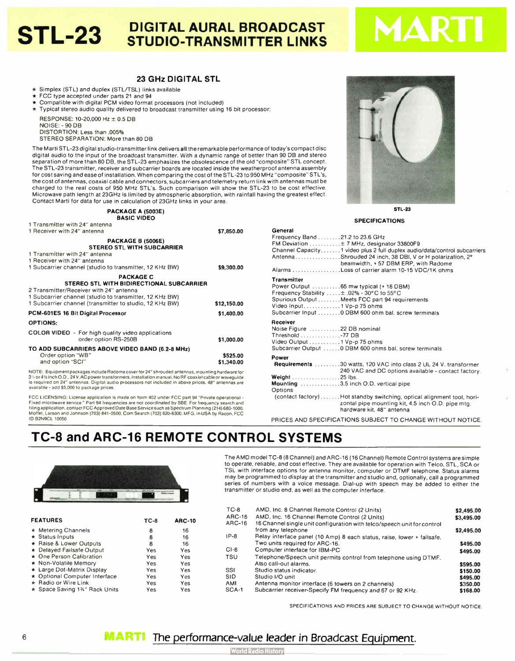## **DIGITAL AURAL BROADCAST** STL-23 STUDIO-TRANSMITTER LINKS

## 23 GHz DIGITAL STL

\* Simplex (STL) and duplex (STL/TSL) links available

- $\star$  FCC type accepted under parts 21 and 94
- \* Compatible with digital PCM video format processors ( not included)
- $\star$  Typical stereo audio quality delivered to broadcast transmitter using 16 bit processor:

RESPONSE: 10-20.000 Hz ± 0.5 DB NOISE: - 90 DB DISTORTION: Less than . 005% STEREO SEPARATION: More than 80 DB

The Marti STL-23 digital studio- transmitter link deliversall the remarkable performance of today's compact disc digital audio to the input of the broadcast transmitter. With a dynamic range of better than 90 DB and stereo separation of more than 80 DB, the STL-23 emphasizes the obsolescence of the old " composite" STL concept. The STL-23 transmitter, receiver and subcarrier boards are located inside the weatherproof antenna assembly for cost saving and ease of installation. When comparing the cost of the STL-23 to 950 MHz " composite" STL's, the cost of antennas, coaxial cable and connectors, subcarriers and telemetry return link with antennas must be charged to the real costs of 950 MHz STL's. Such comparison will show the STL-23 to be cost effective. Microwave path length at 23GHz is limited by atmospheric absorption, with rainfall having the greatest effect. Contact Marti for data for use in calculation of 23GHz links in your area.

> PACKAGE A (5003E) BASIC VIDEO

1 Transmitter with 24" antenna

| 1 Heceiver with 24" antenna                                                                    | \$7,850.00  |
|------------------------------------------------------------------------------------------------|-------------|
| PACKAGE B (5006E)<br><b>STEREO STL WITH SUBCARRIER</b>                                         |             |
| 1 Transmitter with 24" antenna                                                                 |             |
| 1 Receiver with 24" antenna                                                                    |             |
| 1 Subcarrier channel (studio to transmitter, 12 KHz BW)                                        |             |
|                                                                                                | \$9,300.00  |
| <b>PACKAGE C</b>                                                                               |             |
| <b>STEREO STL WITH BIDIRECTIONAL SUBCARRIER</b>                                                |             |
| 2 Transmitter/Receiver with 24" antenna                                                        |             |
| 1 Subcarrier channel (studio to transmitter, 12 KHz BW)                                        |             |
| 1 Subcarrier channel (transmitter to studio, 12 KHz BW)                                        | \$12,150.00 |
| PCM-601ES 16 Bit Digital Processor                                                             | \$1,400.00  |
| <b>OPTIONS:</b>                                                                                |             |
|                                                                                                |             |
| <b>COLOR VIDEO</b> - For high quality video applications                                       |             |
| order option RS-250B                                                                           | \$1,000.00  |
| TO ADD SUBCARRIERS ABOVE VIDEO BAND (6.2-8 MHz)                                                |             |
| Order option "WB"                                                                              | \$525.00    |
| and option "SCI"                                                                               | \$1,340.00  |
| NOTE: Equipment packages include Badome cover for 24" shrouded aptennes, mounting bardware for |             |

NOTE: Equipment packages include Hadome cover for 24" shrouded antennas, mounting hardware for<br>3% or 4 % inch O.D., 24 V.AC power transformers, installation manual. No RF coaxial cable or waveguide<br>is required on 24" anten available - add \$5.000 to package prices

FCC LICENSING: License application is made on form 402 under FCC part 94 "Private operational r ixed microwave service. " Part 94 frequencies are not coordinated by SBE. For frequency search and<br>filing application, contact FCC Approved Date Base Service such as Spectrum Planning (214) 680-1000, Moffet. Larson and Johnson ( 703) 841-0500. Com Search ( 703) <sup>620</sup>-6300. MFG in USA by Racon. FCC ID B2N9CL 10050,

STL-<sup>23</sup>

| <b>SPECIFICATIONS</b> |  |
|-----------------------|--|
|-----------------------|--|

| Frequency Band 21.2 to 23.6 GHz<br>FM Deviation  ± 7 MHz, designator 33800F9<br>Channel Capacity1 video plus 2 full duplex audio/data/control subcarriers<br>AntennaShrouded 24 inch, 38 DBI, V or H polarization, 2°<br>beamwidth, +57 DBM ERP, with Radome<br>Alarms Loss of carrier alarm 10-15 VDC/1K ohms |
|----------------------------------------------------------------------------------------------------------------------------------------------------------------------------------------------------------------------------------------------------------------------------------------------------------------|
|                                                                                                                                                                                                                                                                                                                |
| <b>Transmitter</b><br>Power Output 65 mw typical (+ 18 DBM)<br>Frequency Stability  ± .02% - 30°C to 55°C<br>Spurious Output Meets FCC part 94 requirements<br>Video Input1 Vp-p 75 ohms<br>Subcarrier Input  0 DBM 600 ohm bal. screw terminals                                                               |
| <b>Receiver</b><br>Noise Figure 22 DB nominal<br>Threshold 77 DB<br>Video Output 1 Vp-p 75 ohms<br>Subcarrier Output  0 DBM 600 ohms bal. screw terminals                                                                                                                                                      |
| Power                                                                                                                                                                                                                                                                                                          |
| <b>Requirements</b> 30 watts, 120 VAC into class 2 UL 24 V, transformer<br>240 VAC and DC options available - contact factory.                                                                                                                                                                                 |
| <b>Weight</b> $\ldots$ , $\ldots$ , $\ldots$ , $\ldots$ , 25 lbs.                                                                                                                                                                                                                                              |
| Mounting 3.5 inch O.D. vertical pipe<br>Options                                                                                                                                                                                                                                                                |
| (contact factory)Hot standby switching, optical alignment tool, hori-<br>zontal pipe mounting kit, 4.5 inch O.D. pipe mtg.<br>hardware kit, 48" antenna                                                                                                                                                        |

PRICES AND SPECIFICATIONS SUBJECT TO CHANGE WITHOUT NOTICE

## TC-8 and ARC-16 REMOTE CONTROL SYSTEMS



| <b>FEATURES</b> |                               | TC-8 | <b>ARC-10</b> |  |
|-----------------|-------------------------------|------|---------------|--|
|                 | * Metering Channels           | 8    | 16            |  |
|                 | $\star$ Status Inputs         | 8    | 16            |  |
|                 | * Raise & Lower Outputs       | 8    | 16            |  |
|                 | * Delayed Failsafe Output     | Yes  | Yes           |  |
|                 | * One Person Calibration      | Yes  | Yes           |  |
|                 | ★ Non-Volatile Memory         | Yes  | Yes           |  |
|                 | * Large Dot-Matrix Display    | Yes  | Yes           |  |
|                 | * Optional Computer Interface | Yes  | Yes           |  |
|                 | * Radio or Wire Link          | Yes  | Yes           |  |
|                 | ★ Space Saving 1%" Rack Units | Yes  | Yes           |  |

The AMD model TC-8 (8 Channel) and ARC-16 (16 Channel) Remote Control systems are simple to operate, reliable, and cost effective. They are available for operation with Telco, STL, SCA or TSL with interface options for antenna monitor, computer or DTMF telephone. Status alarms may be programmed to display at the transmitter and studio and, optionally, call a programmed series of numbers with a voice message. Dial-up with speech may be added to either the transmitter or studio end, as well as the computer interface.

| $TC-8$        | AMD, Inc. 8 Channel Remote Control (2 Units)                            | \$2,495.00 |
|---------------|-------------------------------------------------------------------------|------------|
| ARC-16        | AMD, Inc. 16 Channel Remote Control (2 Units)                           | \$3,495.00 |
| <b>ARC-16</b> | 16 Channel single unit configuration with telco/speech unit for control |            |
|               | from any telephone                                                      | \$2,495.00 |
| $IP-8$        | Relay interface panel (10 Amp) 8 each status, raise, lower + failsafe.  |            |
|               | Two units required for ARC-16.                                          | \$495.00   |
| $CI-8$        | Computer interface for IBM-PC                                           | \$495.00   |
| <b>TSU</b>    | Telephone/Speech unit permits control from telephone using DTMF.        |            |
|               | Also call-out alarms.                                                   | \$595.00   |
| <b>SSI</b>    | Studio status indicator.                                                | \$150.00   |
| <b>SID</b>    | Studio I/O unit                                                         | \$495.00   |
| AMI           | Antenna monitor interface (6 towers on 2 channels)                      | \$350.00   |
| SCA-1         | Subcarrier receiver-Specify FM frequency and 67 or 92 KHz.              | \$168.00   |

SPECIFICATIONS AND PRICES ARE SUBJECT TO CHANGE WITHOUT NOTICE

## 6 **MARTI** The performance-value leader in Broadcast Equipment.

General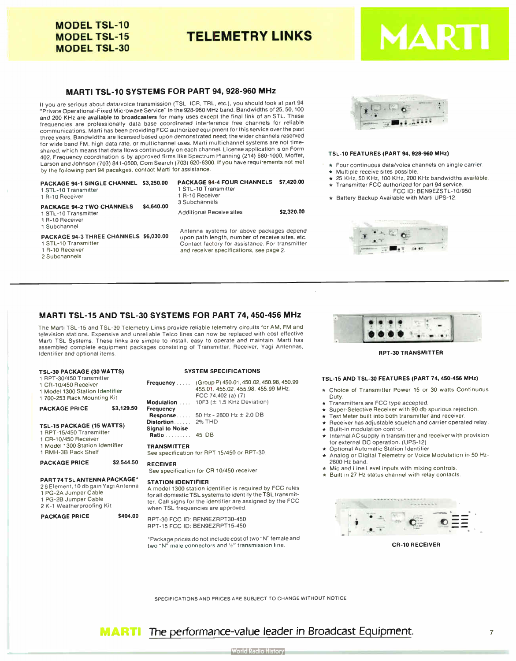## MODEL TSL-10 MODEL TSL-15 MODEL TSL-30

TELEMETRY LINKS

# MA

## MARTI TSL-10 SYSTEMS FOR PART 94, 928-960 MHz

If you are serious about data/voice transmission (TSL, ICR, TRL, etc.), you should look at part 94 "Private Operational- Fixed Microwave Service" in the 928-960 MHz band. Bandwidths of 25, 50, 100 and 200 KHz are available to broadcasters for many uses except the final link of an STL. These frequencies are professionally data base coordinated interference free channels for reliable communications. Marti has been providing FCC authorized equipment for this service over the past three years. Bandwidths are licensed based upon demonstrated need: the wider channels reserved for wide band FM, high data rate, or multichannel uses. Marti multichannel systems are not timeshared, which means that data flows continuously on each channel. License application is on Form 402. Frequency coordination is by approved firms like Spectrum Planning ( 214) 680-1000, Moffet, Larson and Johnson ( 703) 841-0500, Com Search ( 703) 620-6300. If you have requirements not met by the following part 94 pacakges, contact Marti for assistance.

| PACKAGE 94-1 SINGLE CHANNEL \$3,250.00<br>1 STL-10 Transmitter<br>1 R-10 Receiver |            | <b>PACKAGE 94-4 FOUR CHANNELS \$7,420.00</b><br>1 STL-10 Transmitter<br>1 R-10 Receiver<br>3 Subchannels |            |
|-----------------------------------------------------------------------------------|------------|----------------------------------------------------------------------------------------------------------|------------|
| <b>PACKAGE 94-2 TWO CHANNELS</b><br>1 STL-10 Transmitter<br>1 R-10 Receiver       | \$4,640.00 | <b>Additional Receive sites</b>                                                                          | \$2,320.00 |
| 1 Subchannel<br>PACKAGE 94-3 THREE CHANNELS \$6,030.00                            |            | Antenna systems for above packages depend<br>upon path length, number of receive sites, etc.             |            |

1 STL-10 Transmitter 1 R-10 Receiver 2 Subchannels

Antenna systems for above packages depend Contact factory for assistance. For transmitter

and receiver specifications, see page 2.



#### TSL-10 FEATURES ( PART 94, 928-960 MHz)

- \* Four continuous data/voice channels on single carrier.
- Multiple receive sites possible.
- 25 KHz, 50 KHz, 100 KHz, 200 KHz bandwidths available.
- Transmitter FCC authorized for part 94 service. FCC ID: BEN9EZSTL-10/950
- \* Battery Backup Available with Marti UPS- 12.



## MARTI TSL-15 AND TSL-30 SYSTEMS FOR PART 74, 450-456 MHz

The Marti TSL-15 and TSL-30 Telemetry Links provide reliable telemetry circuits for AM, FM and television stations. Expensive and unreliable Telco lines can now be replaced with cost effective Marti TSL Systems. These links are simple to install, easy to operate and maintain. Marti has assembled complete equipment packages consisting of Transmitter. Receiver, Vagi Antennas. Identifier and optional items.

| TSL-30 PACKAGE (30 WATTS)<br>1 RPT-30/450 Transmitter<br>1 CR-10/450 Receiver<br>1 Model 1300 Station Identifier<br>1700-253 Rack Mounting Kit   |            | Frequen<br>Modulati                                            |
|--------------------------------------------------------------------------------------------------------------------------------------------------|------------|----------------------------------------------------------------|
| <b>PACKAGE PRICE</b>                                                                                                                             | \$3,129.50 | Frequen<br>Respon                                              |
| <b>TSL-15 PACKAGE (15 WATTS)</b><br>1 RPT-15/450 Transmitter<br>1 CR-10/450 Receiver                                                             |            | <b>Distortio</b><br>Signal to<br>Ratio                         |
| 1 Model 1300 Station Identifier<br>1 RMH-3B Rack Shelf                                                                                           |            | <b>TRANSM</b><br>See speo                                      |
| <b>PACKAGE PRICE</b>                                                                                                                             | \$2.544.50 | <b>RECEIVI</b><br>See spe                                      |
| PART 74 TSL ANTENNA PACKAGE*<br>26 Element, 10 db gain Yagi Antenna<br>1 PG-2A Jumper Cable<br>1 PG-2B Jumper Cable<br>2 K-1 Weatherproofing Kit |            | <b>STATIO</b><br>A model<br>for all do<br>ter. Call<br>when TS |
| <b>PACKAGE PRICE</b>                                                                                                                             | \$404.00   | DDT 00.                                                        |

#### SYSTEM SPECIFICATIONS

| Frequency              | (Group P) 450.01, 450.02, 450.98, 450.99<br>455.01.455.02.455.98.455.99 MHz.<br>FCC 74.402 (a) (7) |
|------------------------|----------------------------------------------------------------------------------------------------|
|                        | <b>Modulation</b> , 10F3 $(\pm 1.5 \text{ KHz}$ Deviation)                                         |
| Frequency              |                                                                                                    |
| $Response \ldots$      | 50 Hz - 2800 Hz $\pm$ 2.0 DB                                                                       |
| Distortion 2% THD      |                                                                                                    |
| <b>Signal to Noise</b> |                                                                                                    |
| <b>Ratio</b> 45 DB     |                                                                                                    |
| <b>TRANSMITTER</b>     | See specification for RPT 15/450 or RPT-30.                                                        |

ER

ecification for CR 10/450 receiver.

#### **N IDENTIFIER**

1300 station identifier is required by FCC rules  $\delta$  mestic TSL systems to identify the TSL transmitsigns for the identifier are assigned by the FCC SL frequencies are approved.

RPT-30 FCC ID: BEN9EZRPT30-450 RPT-15 FCC ID: BEN9EZRPT15-450

•Package prices do not include cost of two " N" female and two "N" male connectors and %" transmission line.



**RPT-30 TRANSMITTER** 

#### TSL-15 AND TSL-30 FEATURES ( PART 74, 450-456 MHz)

- Choice of Transmitter Power 15 or 30 watts Continuous **Duty**
- Transmitters are FCC type accepted.
- \* Super-Selective Receiver with 90 db spurious rejection.
- Test Meter built into both transmitter and receiver.
- $\star$  Receiver has adjustable squelch and carrier operated relay.
- Built-in modulation control.
- Internal AC supply in transmitter and receiver with provision for external DC operation. (UPS-12)
- **Optional Automatic Station Identifier**
- Analog or Digital Telemetry or Voice Modulation in 50 Hz-2800 Hz band.
- Mic and Line Level inputs with mixing controls.
- Built in 27 Hz status channel with relay contacts.
- 



CR -10 RECEIVER

SPECIFICATIONS AND PRICES ARE SUBJECT TO CHANGE WITHOUT NOTICE

The performance-value leader in Broadcast Equipment. **MARTI**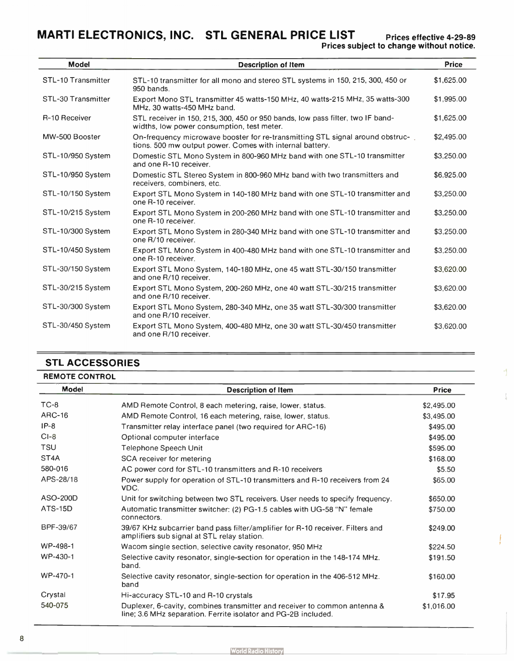## MARTI ELECTRONICS, INC. STL GENERAL PRICE LIST Prices effective 4-29-89

receivers, combiners, etc.

one R-10 receiver.

one R-10 receiver.

one R/10 receiver.

one R-10 receiver.

and one R/10 receiver.

and one R/10 receiver.

and one R/10 receiver.

and one R/10 receiver.

| <b>Model</b>       | <b>Description of Item</b>                                                                                                                | <b>Price</b> |
|--------------------|-------------------------------------------------------------------------------------------------------------------------------------------|--------------|
| STL-10 Transmitter | STL-10 transmitter for all mono and stereo STL systems in 150, 215, 300, 450 or<br>950 bands.                                             | \$1,625.00   |
| STL-30 Transmitter | Export Mono STL transmitter 45 watts-150 MHz, 40 watts-215 MHz, 35 watts-300<br>MHz, 30 watts-450 MHz band.                               | \$1,995.00   |
| R-10 Receiver      | STL receiver in 150, 215, 300, 450 or 950 bands, low pass filter, two IF band-<br>widths, low power consumption, test meter.              | \$1,625.00   |
| MW-500 Booster     | On-frequency microwave booster for re-transmitting STL signal around obstruc-<br>tions. 500 mw output power. Comes with internal battery. | \$2,495.00   |
| STL-10/950 System  | Domestic STL Mono System in 800-960 MHz band with one STL-10 transmitter<br>and one R-10 receiver.                                        | \$3,250,00   |
| STL-10/950 System  | Domestic STL Stereo System in 800-960 MHz band with two transmitters and                                                                  | \$6,925.00   |

STL-10/150 System Export STL Mono System in 140-180 MHz band with one STL-10 transmitter and \$3,250.00

STL-10/215 System Export STL Mono System in 200-260 MHz band with one STL-10 transmitter and \$3,250.00

STL-10/300 System Export STL Mono System in 280-340 MHz band with one STL-10 transmitter and \$3,250.00

STL-10/450 System Export STL Mono System in 400-480 MHz band with one STL-10 transmitter and \$3,250.00

STL-30/150 System Export STL Mono System, 140-180 MHz, one 45 watt STL-30/150 transmitter \$3,620.00

STL-30/215 System Export STL Mono System, 200-260 MHz, one 40 watt STL-30/215 transmitter \$3,620.00

STL-30/300 System Export STL Mono System, 280-340 MHz, one 35 watt STL-30/300 transmitter \$3,620.00

STL-30/450 System Export STL Mono System, 400-480 MHz, one 30 watt STL-30/450 transmitter \$3,620.00

## STL ACCESSORIES

| <b>REMOTE CONTROL</b> |                                                                                                                                             |              |
|-----------------------|---------------------------------------------------------------------------------------------------------------------------------------------|--------------|
| <b>Model</b>          | <b>Description of Item</b>                                                                                                                  | <b>Price</b> |
| $TC-8$                | AMD Remote Control, 8 each metering, raise, lower, status.                                                                                  | \$2,495.00   |
| <b>ARC-16</b>         | AMD Remote Control, 16 each metering, raise, lower, status.                                                                                 | \$3,495.00   |
| $IP-8$                | Transmitter relay interface panel (two required for ARC-16)                                                                                 | \$495.00     |
| $CI-8$                | Optional computer interface                                                                                                                 | \$495.00     |
| <b>TSU</b>            | Telephone Speech Unit                                                                                                                       | \$595.00     |
| ST <sub>4</sub> A     | SCA receiver for metering                                                                                                                   | \$168.00     |
| 580-016               | AC power cord for STL-10 transmitters and R-10 receivers                                                                                    | \$5.50       |
| APS-28/18             | Power supply for operation of STL-10 transmitters and R-10 receivers from 24<br>VDC.                                                        | \$65.00      |
| ASO-200D              | Unit for switching between two STL receivers. User needs to specify frequency.                                                              | \$650.00     |
| <b>ATS-15D</b>        | Automatic transmitter switcher: (2) PG-1.5 cables with UG-58 "N" female<br>connectors.                                                      | \$750.00     |
| BPF-39/67             | 39/67 KHz subcarrier band pass filter/amplifier for R-10 receiver. Filters and<br>amplifiers sub signal at STL relay station.               | \$249.00     |
| WP-498-1              | Wacom single section, selective cavity resonator, 950 MHz                                                                                   | \$224.50     |
| WP-430-1              | Selective cavity resonator, single-section for operation in the 148-174 MHz.<br>band.                                                       | \$191.50     |
| WP-470-1              | Selective cavity resonator, single-section for operation in the 406-512 MHz.<br>band                                                        | \$160.00     |
| Crystal               | Hi-accuracy STL-10 and R-10 crystals                                                                                                        | \$17.95      |
| 540-075               | Duplexer, 6-cavity, combines transmitter and receiver to common antenna &<br>line; 3.6 MHz separation. Ferrite isolator and PG-2B included. | \$1,016.00   |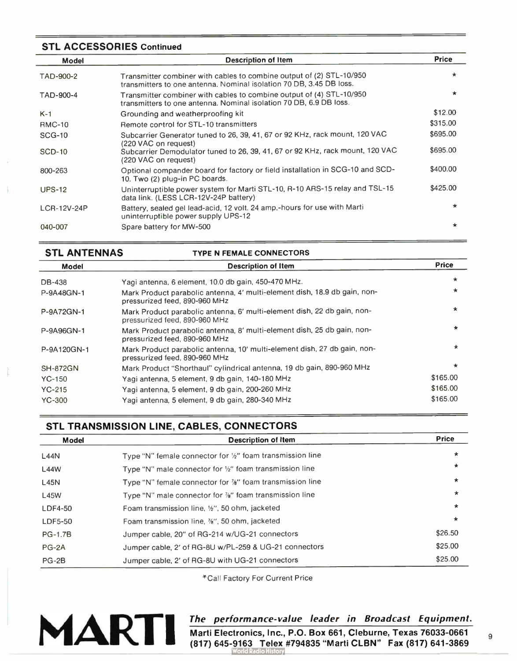## STL ACCESSORIES Continued

| <b>Model</b>  | <b>Description of Item</b>                                                                                                                  | <b>Price</b> |
|---------------|---------------------------------------------------------------------------------------------------------------------------------------------|--------------|
| TAD-900-2     | Transmitter combiner with cables to combine output of (2) STL-10/950<br>transmitters to one antenna. Nominal isolation 70 DB, 3.45 DB loss. | *            |
| TAD-900-4     | Transmitter combiner with cables to combine output of (4) STL-10/950<br>transmitters to one antenna. Nominal isolation 70 DB, 6.9 DB loss.  | $\star$      |
| $K-1$         | Grounding and weatherproofing kit                                                                                                           | \$12.00      |
| <b>RMC-10</b> | Remote control for STL-10 transmitters                                                                                                      | \$315.00     |
| <b>SCG-10</b> | Subcarrier Generator tuned to 26, 39, 41, 67 or 92 KHz, rack mount, 120 VAC<br>(220 VAC on request)                                         | \$695.00     |
| <b>SCD-10</b> | Subcarrier Demodulator tuned to 26, 39, 41, 67 or 92 KHz, rack mount, 120 VAC<br>(220 VAC on request)                                       | \$695.00     |
| 800-263       | Optional compander board for factory or field installation in SCG-10 and SCD-<br>10. Two (2) plug-in PC boards.                             | \$400.00     |
| <b>UPS-12</b> | Uninterruptible power system for Marti STL-10, R-10 ARS-15 relay and TSL-15<br>data link. (LESS LCR-12V-24P battery)                        | \$425.00     |
| LCR-12V-24P   | Battery, sealed gel lead-acid, 12 volt. 24 amp.-hours for use with Marti<br>uninterruptible power supply UPS-12                             | $\star$      |
| 040-007       | Spare battery for MW-500                                                                                                                    | $\star$      |

| <b>STL ANTENNAS</b> | <b>TYPE N FEMALE CONNECTORS</b>                                                                            |              |
|---------------------|------------------------------------------------------------------------------------------------------------|--------------|
| <b>Model</b>        | <b>Description of Item</b>                                                                                 | <b>Price</b> |
| DB-438              | Yagi antenna, 6 element, 10.0 db gain, 450-470 MHz.                                                        | $\star$      |
| P-9A48GN-1          | Mark Product parabolic antenna, 4' multi-element dish, 18.9 db gain, non-<br>pressurized feed, 890-960 MHz | $\star$      |
| P-9A72GN-1          | Mark Product parabolic antenna, 6' multi-element dish, 22 db gain, non-<br>pressurized feed, 890-960 MHz   | $\star$      |
| P-9A96GN-1          | Mark Product parabolic antenna, 8' multi-element dish, 25 db gain, non-<br>pressurized feed, 890-960 MHz   | $\star$      |
| P-9A120GN-1         | Mark Product parabolic antenna, 10' multi-element dish, 27 db gain, non-<br>pressurized feed, 890-960 MHz  | $\star$      |
| <b>SH-872GN</b>     | Mark Product "Shorthaul" cylindrical antenna, 19 db gain, 890-960 MHz                                      | $\star$      |
| $YC-150$            | Yagi antenna, 5 element, 9 db gain, 140-180 MHz                                                            | \$165.00     |
| $YC-215$            | Yagi antenna, 5 element, 9 db gain, 200-260 MHz                                                            | \$165.00     |
| <b>YC-300</b>       | Yagi antenna, 5 element, 9 db gain, 280-340 MHz                                                            | \$165.00     |

## STL TRANSMISSION LINE, CABLES, CONNECTORS

| <b>Model</b>   | <b>Description of Item</b>                                           | <b>Price</b> |
|----------------|----------------------------------------------------------------------|--------------|
| <b>L44N</b>    | Type "N" female connector for 1/2" foam transmission line            | $\star$      |
| <b>L44W</b>    | Type "N" male connector for $\frac{1}{2}$ " foam transmission line   | $\star$      |
| L45N           | Type "N" female connector for $\frac{1}{2}$ " foam transmission line | *            |
| <b>L45W</b>    | Type "N" male connector for %" foam transmission line                | $\star$      |
| LDF4-50        | Foam transmission line, 1/2", 50 ohm, jacketed                       | $\star$      |
| LDF5-50        | Foam transmission line, %", 50 ohm, jacketed                         | $\star$      |
| <b>PG-1.7B</b> | Jumper cable, 20" of RG-214 w/UG-21 connectors                       | \$26.50      |
| $PG-2A$        | Jumper cable, 2' of RG-8U w/PL-259 & UG-21 connectors                | \$25.00      |
| $PG-2B$        | Jumper cable, 2' of RG-8U with UG-21 connectors                      | \$25.00      |

\*Call Factory For Current Price



## The performance- value leader in Broadcast Equipment.

Marti Electronics, Inc., P.O. Box 661, Cleburne, Texas 76033-0661 (817) 645-9163 Telex #794835 " Marti CLBN" Fax ( 817) 641-3869 o History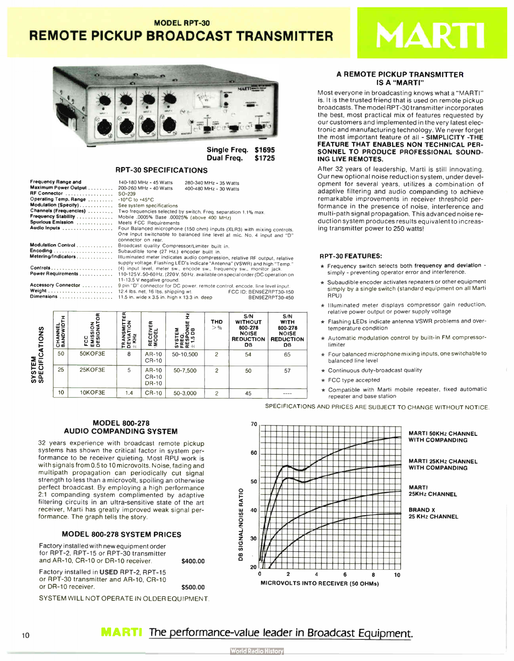## MODEL RPT-30

## REMOTE PICKUP BROADCAST TRANSMITTER



Single Freq. \$1695 Dual Freq. \$1725

## RPT-30 SPECIFICATIONS

| Frequency Range and    | 140-180 MHz - 45 Watts                                                          | 280-340 MHz - 35 Watts |                         |  |  |
|------------------------|---------------------------------------------------------------------------------|------------------------|-------------------------|--|--|
| Maximum Power Output   | 200-260 MHz - 40 Watts                                                          | 400-480 MHz - 30 Watts |                         |  |  |
| RF Connector           | SO-239                                                                          |                        |                         |  |  |
| Operating Temp. Range  | $-10^{\circ}$ C to $+45^{\circ}$ C                                              |                        |                         |  |  |
| Modulation (Specify)   | See system specifications                                                       |                        |                         |  |  |
| Channels (Frequencies) | Two frequencies selected by switch. Freq. separation 1.1% max.                  |                        |                         |  |  |
| Frequency Stability    | Mobile .0005% Base .00025% (above 400 MHz)                                      |                        |                         |  |  |
| Spurious Emission      | Meets FCC Requirements                                                          |                        |                         |  |  |
| Audio Inputs           | Four Balanced microphone (150 ohm) inputs (XLR3) with mixing controls.          |                        |                         |  |  |
|                        | One input switchable to balanced line level at mic. No. 4 input and "D"         |                        |                         |  |  |
|                        | connector on rear.                                                              |                        |                         |  |  |
| Modulation Control     | Broadcast quality Compressor/Limiter built in.                                  |                        |                         |  |  |
|                        | Subaudible tone (27 Hz.) encoder built in.                                      |                        |                         |  |  |
| Metering/Indicators    | Illuminated meter indicates audio compression, relative RF output, relative     |                        |                         |  |  |
|                        | supply voltage. Flashing LED's indicate "Antenna" (VSWR) and high "Temp."       |                        |                         |  |  |
|                        | (4) input level, meter sw., encode sw., frequency sw., monitor jack.            |                        |                         |  |  |
| Power Requirements     | 110-125 V. 50-60 Hz. (220 V. 50 Hz. available on special order (DC operation on |                        |                         |  |  |
|                        | 11-13.5 V negative ground.                                                      |                        |                         |  |  |
| Accessory Connector    | 9 pin "D" connector for DC power, remote control, encode, line level input.     |                        |                         |  |  |
|                        | 12.4 lbs. net, 16 lbs. shipping wt.                                             |                        | FCC ID: BEN9EZRPT30-150 |  |  |
| Dimensions             | 11.5 in. wide x 3.5 in. high x 13.3 in. deep                                    |                        | BEN9EZRPT30-450         |  |  |

| CATIONS                   | CHANNEL<br>BANDWIDTH | ION<br>NATOR<br>FCC<br>EMISSI<br>DESIGI | Œ<br><b>NOIL</b><br>፵<br>KH <sub>2</sub><br>5<br>토문 H | <b>RECEIVER</b><br>MODEL       | £<br>NSE<br>B<br>z<br>$\circ$<br>ш<br>σ<br>؞<br><b>SEE</b> | <b>THD</b><br>> 9/6 | S/N<br><b>WITHOUT</b><br>800-278<br><b>NOISE</b><br><b>REDUCTION</b><br><b>DB</b> | S/N<br><b>WITH</b><br>800-278<br><b>NOISE</b><br><b>REDUCTION</b><br><b>DB</b> |
|---------------------------|----------------------|-----------------------------------------|-------------------------------------------------------|--------------------------------|------------------------------------------------------------|---------------------|-----------------------------------------------------------------------------------|--------------------------------------------------------------------------------|
|                           | 50                   | 50KOF3E                                 | 8                                                     | AR-10<br>CR-10                 | 50-10,500                                                  | 2                   | 54                                                                                | 65                                                                             |
| <b>SYSTEM</b><br>SPECIFIC | 25                   | 25KOF3E                                 | 5                                                     | AR-10<br>CR-10<br><b>DR-10</b> | 50-7,500                                                   | $\overline{2}$      | 50                                                                                | 57                                                                             |
|                           | 10                   | 10KOF3E                                 | 1.4                                                   | CR-10                          | 50-3.000                                                   | $\overline{c}$      | 45                                                                                | ----                                                                           |

## A REMOTE PICKUP TRANSMITTER **IS A "MARTI"**

MART

Most everyone in broadcasting knows what a " MARTI" is. It is the trusted friend that is used on remote pickup broadcasts. The model RPT-30 transmitter incorporates the best, most practical mix of features requested by our customers and implemented in the very latest electronic and manufacturing technology. We never forget the most important feature of all - SIMPLICITY -THE FEATURE THAT ENABLES NON TECHNICAL PER-SONNEL TO PRODUCE PROFESSIONAL SOUND-ING LIVE REMOTES.

After 32 years of leadership, Marti is still innovating. Our new optional noise reduction system, under development for several years, utilizes a combination of adaptive filtering and audio companding to achieve remarkable improvements in receiver threshold performance in the presence of noise, interference and multi-path signal propagation. This advanced noise reduction system produces results equivalent to increasing transmitter power to 250 watts!

#### RPT-30 FEATURES:

- $\star$  Frequency switch selects both frequency and deviation simply - preventing operator error and interference.
- $\star$  Subaudible encoder activates repeaters or other equipment simply by a single switch ( standard equipment on all Marti RPU)
- $\star$  Illuminated meter displays compressor gain reduction, relative power output or power supply voltage
- Flashing LEDs indicate antenna VSWR problems and overtemperature condition
- \* Automatic modulation control by built-in FM compressorlimiter
- Four balanced microphone mixing inputs, one switchable to balanced line level
- $\star$  Continuous duty-broadcast quality
- \* FCC type accepted
- $\star$  Compatible with Marti mobile repeater, fixed automatic repeater and base station

SPECIFICATIONS AND PRICES ARE SUBJECT TO CHANGE WITHOUT NOTICE

## MODEL 800-278 AUDIO COMPANDING SYSTEM

32 years experience with broadcast remote pickup systems has shown the critical factor in system performance to be receiver quieting. Most RPU work is with signals from 0.5 to 10 microvolts. Noise, fading and multipath propagation can periodically cut signal strength to less than a microvolt, spoiling an otherwise perfect broadcast. By employing a high performance 2:1 companding system complimented by adaptive filtering circuits in an ultra-sensitive state of the art receiver, Marti has greatly improved weak signal performance. The graph tells the story.

## MODEL 800-278 SYSTEM PRICES

Factory installed with new equipment order for RPT-2, RPT-15 or RPT-30 transmitter and AR-10, CR-10 or DR-10 receiver. \$400.00

Factory installed in USED RPT-2, RPT-15 or RPT-30 transmitter and AR-10, CR-10 or DR- 10 receiver. \$500.00

SYSTEM WILL NOT OPERATE IN OLDER EQUIPMENT



#### MARTI 50KHz CHANNEL WITH COMPANDING

MARTI 25KHz CHANNEL WITH COMPANDING

MARTI 25KHz CHANNEL

BRAND X 25 KHz CHANNEL

10 **MARTI** The performance-value leader in Broadcast Equipment.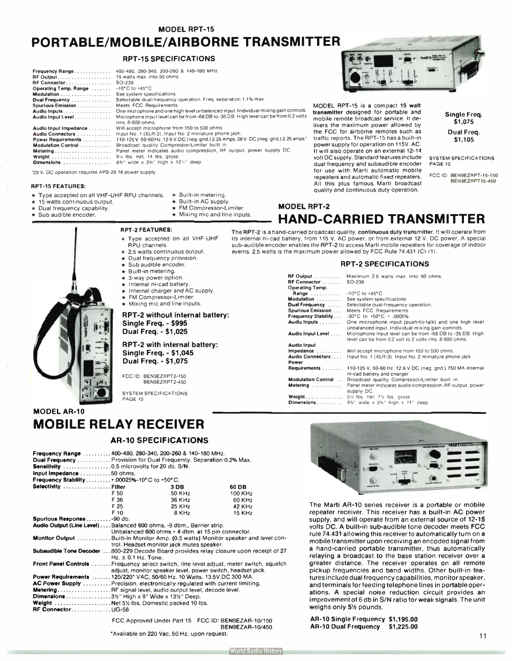MODEL RPT-15

## PORTABLE/MOBILE/AIRBORNE TRANSMITTER

## RPT-15 SPECIFICATIONS

| Frequency Range                                      | 400-480, 280-340, 200-260 & 140-180 MHz.                                                                    |
|------------------------------------------------------|-------------------------------------------------------------------------------------------------------------|
| RF Output. 15 watts max. into 50 ohms                |                                                                                                             |
| RF Connector                                         | SO-239                                                                                                      |
| Operating Temp. Range                                | $-10^{\circ}$ C to $+45^{\circ}$ C                                                                          |
| Modulation                                           | See system specifications                                                                                   |
| Dual Frequency                                       | Selectable dual-frequency operation. Freq. separation 1.1% max.                                             |
| <b>Spurious Emission </b>                            | Meets FCC Requirements                                                                                      |
| Audio Inputs                                         | One microphone and one high level unbalanced input. Individual mixing gain controls.                        |
| Audio Input Level                                    | Microphone input level can be from -68 DB to -35 DB. High level can be from 0.2 volts<br>$rms. 8-600 ohms.$ |
| Audio Input Impedance                                | Will accept microphone from 150 to 500 ohms.                                                                |
| Audio Connectors                                     | Input No. 1 (XLR-3). Input No. 2 miniature phone jack.                                                      |
| Power Requirements                                   | 110-125 V. 50-60 Hz. 12.6 V.DC (neg. gnd.) 2.25 Amps, 28 V. DC (neg. gnd.) 2.25 amps*                       |
| Modulation Control                                   | Broadcast quality Compressor/Limiter built in.                                                              |
| Metering                                             | Panel meter indicates audio compression, RF output, power supply DC.                                        |
| Weight                                               | 91/4 lbs. net; 14 lbs. gross                                                                                |
| Dimensions                                           | 8%" wide x 3%" high x 12%" deep.                                                                            |
| '28 V. DC operation requires APS-28 18 power supply. |                                                                                                             |

#### RPT-15 FEATURES:

- \* Type accepted on all VHF-UHF RPU channels.
- 15 watts continuous output.
- Dual frequency capability.
- Sub audible encoder.
- $*$  Built-in metering. \* Built-in AC supply.
- FM Compressor-Limiter.
- $\star$  Mixing mic and line inputs.
- RPT-2 FEATURES:
- \* Type accepted on all VHF-UHF RPU channels.
- 2.5 watts continuous output.
- Dual frequency provision.
- Sub audible encoder.
- Built-in metering.
- 3-way power option.
- Internal ni-cad battery
- Internal charger and AC supply.
- FM Compressor-Limiter.
- Mixing mic and line inputs.

## RPT-2 without internal battery: Single Freq. - \$995 Dual Freq. - \$ 1,025

## RPT-2 with internal battery: Single Freq. - \$1,045 Dual Freq. - \$ 1,075

FCC ID: BEN9EZRPT2-150 BEN9EZRPT2-450

SYSTEM SPECIFICATIONS PAGE 10

## **MODEL AR-10** MOBILE RELAY RECEIVER

## AR- 10 SPECIFICATIONS

|                                                                                               | Frequency Range 400-480, 280-340, 200-260 & 140-180 MHz.                        |                 |                                                    |  |  |
|-----------------------------------------------------------------------------------------------|---------------------------------------------------------------------------------|-----------------|----------------------------------------------------|--|--|
|                                                                                               | Dual Frequency Provision for Dual Frequency. Separation 0.2% Max.               |                 |                                                    |  |  |
|                                                                                               | Sensitivity 0.5 microvolts for 20 db. S/N.                                      |                 |                                                    |  |  |
| Input Impedance 50 ohms.                                                                      |                                                                                 |                 |                                                    |  |  |
| Frequency Stability+.00025%-10°C to +50°C.                                                    |                                                                                 |                 |                                                    |  |  |
| Selectivity Filter                                                                            |                                                                                 | 3 <sub>DB</sub> | 60 DB                                              |  |  |
|                                                                                               | F 50                                                                            | 50 KHz          | 100 KHz                                            |  |  |
|                                                                                               | F 36                                                                            | 36 KHz          | 60 KHz                                             |  |  |
|                                                                                               | F 25                                                                            | 25 KHz          | 42 KHz                                             |  |  |
|                                                                                               | F 10                                                                            | 8 KHz           | <b>15 KHz</b>                                      |  |  |
| Spurious Response-90 db.                                                                      |                                                                                 |                 |                                                    |  |  |
| Audio Output (Line Level) Balanced 600 ohms. -9 dbm., Barrier strip.                          |                                                                                 |                 |                                                    |  |  |
|                                                                                               | Unbalanced 600 ohms + 4 dbm. at 15 pin connector.                               |                 |                                                    |  |  |
|                                                                                               | Monitor Output Built-in Monitor Amp. (0.5 watts) Monitor speaker and level con- |                 |                                                    |  |  |
|                                                                                               | trol. Headset monitor jack mutes speaker.                                       |                 |                                                    |  |  |
| <b>Subaudible Tone Decoder</b> 800-229 Decode Board provides relay closure upon receipt of 27 |                                                                                 |                 |                                                    |  |  |
|                                                                                               | $Hz. \pm 0.1$ Hz. Tone.                                                         |                 |                                                    |  |  |
| <b>Front Panel Controls</b> Frequency select switch, line level adjust, meter switch, squelch |                                                                                 |                 |                                                    |  |  |
|                                                                                               | adjust, monitor speaker level, power switch, headset jack.                      |                 |                                                    |  |  |
| Power Requirements 120/220* VAC, 50/60 Hz, 10 Watts. 13.5V.DC 300 MA.                         |                                                                                 |                 |                                                    |  |  |
| <b>AC Power Supply</b> Precision, electronically regulated with current limiting.             |                                                                                 |                 |                                                    |  |  |
|                                                                                               | Metering RF signal level, audio output level, decode level.                     |                 |                                                    |  |  |
| <b>Dimensions</b> 3½" High x 9" Wide x 13½" Deep.                                             |                                                                                 |                 |                                                    |  |  |
| Weight  Net 51/2 lbs. Domestic packed 10 lbs.                                                 |                                                                                 |                 |                                                    |  |  |
| <b>RF Connector</b> UG-58                                                                     |                                                                                 |                 |                                                    |  |  |
|                                                                                               |                                                                                 |                 | FCC Approved Under Part 15 FCC ID: BEN9EZAR-10/150 |  |  |

BEN9EZAR-10/450

'Available on 220 Vac, 50 Hz. upon request.



MODEL RPT-15 is a compact 15 watt transmitter designed for portable and mobile remote broadcast service. It delivers the maximum power allowed by the FCC for airborne remotes such as traffic reports. The RPT-15 has a built-in power supply for operation on 115V. AC. It will also operate on an external 12-14 volt DC supply. Standard features include dual frequency and subaudible encoder for use with Marti automatic mobile repeaters and automatic fixed repeaters. All this plus famous Marti broadcast quality and continuous duty operation.

Single Freq. \$1,075 Dual Freq. \$1,105

SYSTEM SPECIFICATIONS PAGE 10

FCC ID: BEN9EZRPT-15-150 BEN9EZRPT15-450

## MODEL RPT-2 HAND-CARRIED TRANSMITTER

The RPT-2 is a hand-carried broadcast quality, continuous duty transmitter. It will operate from its internal ni -cad battery, from 115 V. AC power, or from external 12 V. DC power. A special sub- audible encoder enables the RPT-2 to access Marti mobile repeaters for coverage of indoor events. 2.5 watts is the maximum power allowed by FCC Rule 74.431 (C) (1).

## RPT-2 SPECIFICATIONS

| <b>RF Output</b>           | Maximum 2.5 watts max. into 50 ohms.                                                                                |
|----------------------------|---------------------------------------------------------------------------------------------------------------------|
| <b>RF Connector</b>        | SO-239                                                                                                              |
| Operating Temp.            |                                                                                                                     |
| Range                      | $-10^{\circ}$ C to $+45^{\circ}$ C                                                                                  |
| Modulation                 | See system specifications                                                                                           |
| Dual Frequency             | Selectable dual-frequency operation.                                                                                |
| <b>Spurious Emission</b>   | Meets FCC Requirements                                                                                              |
| <b>Frequency Stability</b> | $-30^{\circ}$ C to $+50^{\circ}$ C + .0005%                                                                         |
| Audio Inputs               | One microphone input (push-to-talk) and one high level<br>unbalanced input. Individual mixing gain controls.        |
| Audio Input Level          | Microphone input level can be from -68 DB to -35 DB. High<br>level can be from 0.2 volt to 2 volts rms. 8-600 ohms. |
| <b>Audio Input</b>         |                                                                                                                     |
| Impedance                  | Will accept microphone from 150 to 500 ohms.                                                                        |
| Audio Connectors<br>Power  | Input No. 1 (XLR-3). Input No. 2 miniature phone jack.                                                              |
| Requirements               | 110-125 V, 50-60 Hz, 12.6 V, DC (neg, gnd.) 750 MA internal<br>ni-cad battery and charger                           |
| <b>Modulation Control</b>  | Broadcast quality Compressor/Limiter built in.                                                                      |
| Metering                   | Panel meter indicates audio compression. RF output, power<br>supply DC.                                             |
| Weight                     | 5% Ibs. net; 7% Ibs. gross                                                                                          |
| Dimensions                 | $8\%$ " wide x $3\%$ " high x $11$ " deep                                                                           |



The Marti AR-10 series receiver is a portable or mobile repeater receiver. This receiver has a built-in AC power supply, and will operate from an external source of 12-15 volts DC. A built-in sub-audible tone decoder meets FCC rule 74.431 allowing this receiver to automatically turn on a mobile transmitter upon receiving an encoded signal from a hand-carried portable transmitter, thus automatically relaying a broadcast to the base station receiver over a greater distance. The receiver operates on all remote pickup frequencies and band widths. Other built-in features include dual frequency capabilities, monitor speaker, and terminals for feeding telephone lines in portable operations. A special noise reduction circuit provides an improvement of 6 db in S/N ratio for weak signals. The unit weighs only 51/2 pounds.

AR- 10 Single Frequency \$1,195.00 AR-10 Dual Frequency \$1,225.00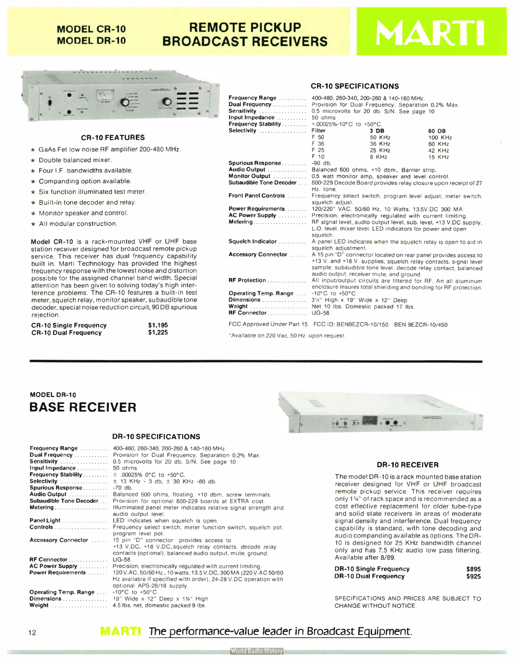## **MODEL CR-10 MODEL DR-10**

## REMOTE PICKUP BROADCAST RECEIVERS





## CR-10 FEATURES

- \* GaAs Fet low noise RF amplifier 200-480 MHz.
- \* Double balanced mixer.
- $\star$  Four I.F. bandwidths available.
- $\star$  Companding option available.
- \* Six function illuminated test meter.
- \* Built-in tone decoder and relay.
- \* Monitor speaker and control.
- \* All modular construction.

Model CR-10 is a rack-mounted VHF or UHF base station receiver designed for broadcast remote pickup service. This receiver has dual frequency capability built in. Marti Technology has provided the highest frequency response with the lowest noise and distortion possible for the assigned channel band width. Special attention has been given to solving today's high interference problems. The CR-10 features a built-in test meter, squelch relay, monitor speaker, subaudible tone decoder, special noise reduction circuit, 90 DB spurious rejection.

| <b>CR-10 Single Frequency</b> | \$1,195 |
|-------------------------------|---------|
| <b>CR-10 Dual Frequency</b>   | \$1,225 |

## CR-10 SPECIFICATIONS

|                                                          | <b>Frequency Range</b> 400-480, 280-340, 200-260 & 140-180 MHz.<br>Dual Frequency  Provision for Dual Frequency. Separation 0.2% Max.<br>Input Impedance  50 ohms<br><b>Frequency Stability</b> $+00025\% - 10^{\circ}$ C to $+50^{\circ}$ C. |                                                                                                                                                                                                                                                                       |                                                                  |               |  |
|----------------------------------------------------------|-----------------------------------------------------------------------------------------------------------------------------------------------------------------------------------------------------------------------------------------------|-----------------------------------------------------------------------------------------------------------------------------------------------------------------------------------------------------------------------------------------------------------------------|------------------------------------------------------------------|---------------|--|
|                                                          | Selectivity                                                                                                                                                                                                                                   | Filter                                                                                                                                                                                                                                                                | 3 DB                                                             | 60 DB         |  |
|                                                          |                                                                                                                                                                                                                                               | F 50                                                                                                                                                                                                                                                                  | 50 KHz                                                           | 100 KHz       |  |
|                                                          |                                                                                                                                                                                                                                               | F 36                                                                                                                                                                                                                                                                  | 36 KHz                                                           | 60 KHz        |  |
| -480 MHz.                                                |                                                                                                                                                                                                                                               | F 25                                                                                                                                                                                                                                                                  | 25 KHz                                                           | 42 KHz        |  |
|                                                          |                                                                                                                                                                                                                                               | F 10                                                                                                                                                                                                                                                                  | 8 KHz                                                            | <b>15 KHz</b> |  |
|                                                          | Spurious Response -90 db.                                                                                                                                                                                                                     |                                                                                                                                                                                                                                                                       |                                                                  |               |  |
|                                                          | Audio Output  Balanced 600 ohms. +10 dbm., Barrier strip.                                                                                                                                                                                     |                                                                                                                                                                                                                                                                       |                                                                  |               |  |
|                                                          | Monitor Output  0.5 watt monitor amp, speaker and level control.<br>Subaudible Tone Decoder  800-229 Decode Board provides relay closure upon receipt of 27                                                                                   | Hz. tone.                                                                                                                                                                                                                                                             |                                                                  |               |  |
|                                                          | Front Panel Controls  Frequency select switch, program level adjust, meter switch,                                                                                                                                                            | squelch adjust.                                                                                                                                                                                                                                                       |                                                                  |               |  |
|                                                          | Power Requirements  120/220° VAC, 50/60 Hz. 10 Watts. 13.5V.DC 300 MA.                                                                                                                                                                        |                                                                                                                                                                                                                                                                       |                                                                  |               |  |
|                                                          | AC Power Supply  Precision, electronically regulated with current limiting.                                                                                                                                                                   |                                                                                                                                                                                                                                                                       |                                                                  |               |  |
|                                                          | Metering RF signal level, audio output level, sub. level, +13 V.DC supply,                                                                                                                                                                    | squelch.                                                                                                                                                                                                                                                              | L.O. level, mixer level. LED indicators for power and open       |               |  |
| F or UHF base<br>t remote pickup                         | Squelch Indicator  A panel LED indicates when the squelch relay is open to aid in                                                                                                                                                             | squelch adjustment.                                                                                                                                                                                                                                                   |                                                                  |               |  |
| ency capability<br>ded the highest<br>se and distortion  |                                                                                                                                                                                                                                               | Accessory Connector  A 15 pin "D" connector located on rear panel provides access to<br>+13 V. and +18 V. supplies, squelch relay contacts, signal level<br>sample, subaudible tone level, decode relay contact, balanced<br>audio output, receiver mute, and ground. |                                                                  |               |  |
| d width. Special<br>day's high inter-                    | RF Protection  All input/output circuits are filtered for RF. An all aluminum                                                                                                                                                                 |                                                                                                                                                                                                                                                                       | enclosure insures total shielding and bonding for RF protection. |               |  |
| es a built-in test<br>subaudible tone<br>.90 DB spurious | Operating Temp. Range  -10°C to +50°C.<br>Dimensions  31/2" High x 19" Wide x 12" Deep<br>Weight  Net 10 lbs. Domestic packed 17 lbs.<br>RF Connector UG-58                                                                                   |                                                                                                                                                                                                                                                                       |                                                                  |               |  |
| \$1.195                                                  | FCC Approved Under Part 15 FCC ID: BEN9EZCR-10/150 BEN 9EZCR-10/450                                                                                                                                                                           |                                                                                                                                                                                                                                                                       |                                                                  |               |  |
| \$1,225                                                  | $AA$ . Alternative $A = 0.00 M_{\odot}$ $A = 0.01 M_{\odot}$ . The set of $A = 0.001 M_{\odot}$                                                                                                                                               |                                                                                                                                                                                                                                                                       |                                                                  |               |  |

'Available on 220 Vac, 50 Hz. upon request.

## **MODEL DR-10** BASE RECEIVER

## DR- 10 SPECIFICATIONS

| Frequency Range              | 400-480, 280-340, 200-260 & 140-180 MHz.                                                                             |
|------------------------------|----------------------------------------------------------------------------------------------------------------------|
| Dual Frequency               | Provision for Dual Frequency. Separation 0.2% Max.                                                                   |
| Sensitivity                  | 0.5 microvolts for 20 db. S/N. See page 10                                                                           |
| Input Impedance              | 50 ohms                                                                                                              |
| <b>Frequency Stability</b>   | $\pm$ .00025% 0°C to +50°C.                                                                                          |
| Selectivity                  | $\pm$ 13 KHz - 3 db, $\pm$ 30 KHz -80 db.                                                                            |
| <b>Spurious Response </b>    | $-70$ db.                                                                                                            |
| Audio Output                 | Balanced 600 ohms, floating, +10 dbm, screw terminals.                                                               |
| Subaudible Tone Decoder      | Provision for optional 800-229 boards at EXTRA cost.                                                                 |
| Metering                     | Illuminated panel meter indicates relative signal strength and<br>audio output level.                                |
| Panel Light                  | LED indicates when squelch is open.                                                                                  |
|                              | Frequency select switch, meter function switch, squelch pot,<br>program level pot.                                   |
| Accessory Connector          | 15 pin "D" connector provides access to                                                                              |
|                              | +13 V.DC, +18 V.DC squelch relay contacts, decode relay<br>contacts (optional), balanced audio output, mute, ground. |
| RF Connector                 | $UG-58$                                                                                                              |
| AC Power Supply              | Precision, electronically regulated with current limiting.                                                           |
| Power Requirements           | 120 V.AC, 50/60 Hz., 10 watts, 13.5 V.DC, 300 MA (220 V.AC 50/60)                                                    |
|                              | Hz available if specified with order), 24-28 V.DC operation with<br>optional APS-28/18 supply.                       |
| <b>Operating Temp. Range</b> | $-10^{\circ}$ C to $+50^{\circ}$ C.                                                                                  |
| Dimensions                   | 19" Wide $\times$ 12" Deep $\times$ 1%" High                                                                         |
| Weight                       | 4.5 lbs. net, domestic packed 9 lbs.                                                                                 |
|                              |                                                                                                                      |



#### DR- 10 RECEIVER

The model DR- 10 is a rack mounted base station receiver designed for VHF or UHF broadcast remote pickup service. This receiver requires only 1<sup>3</sup>4" of rack space and is recommended as a cost effective replacement for older tube-type and solid state receivers in areas of moderate signal density and interference. Dual frequency capability is standard, with tone decoding and audio companding available as options. The DR-10 is designed for 25 KHz bandwidth channel only and has 7.5 KHz audio low pass filtering. Available after 8/89.

| <b>DR-10 Single Frequency</b> | <b>S895</b> |
|-------------------------------|-------------|
| <b>DR-10 Dual Frequency</b>   | <b>S925</b> |

SPECIFICATIONS AND PRICES ARE SUBJECT TO CHANGE WITHOUT NOTICE.

## 12 **MARTI** The performance-value leader in Broadcast Equipment.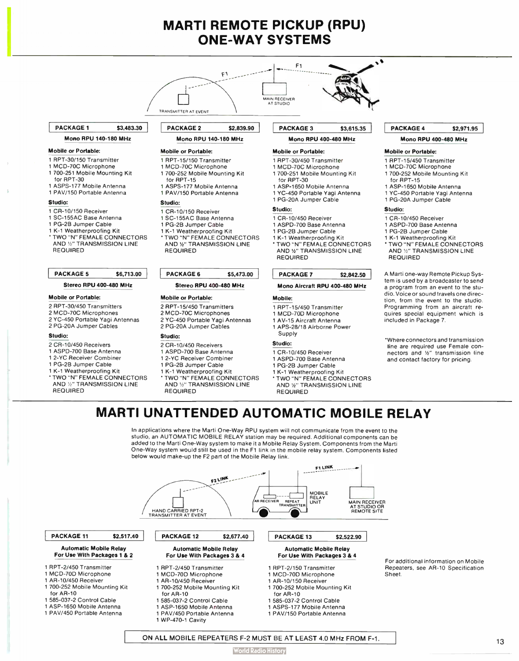## **MARTI REMOTE PICKUP (RPU)** ONE-WAY SYSTEMS

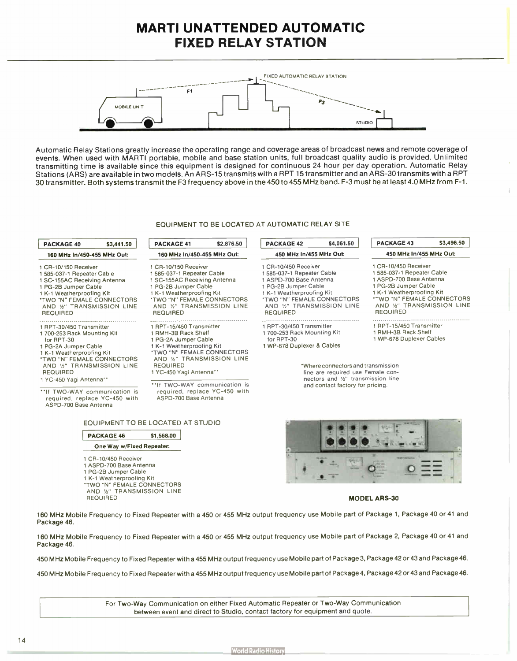## MARTI UNATTENDED AUTOMATIC FIXED RELAY STATION



Automatic Relay Stations greatly increase the operating range and coverage areas of broadcast news and remote coverage of events. When used with MARTI portable, mobile and base station units, full broadcast quality audio is provided. Unlimited transmitting time is available since this equipment is designed for continuous 24 hour per day operation. Automatic Relay Stations ( ARS) are available in two models. An ARS-15 transmits with a APT 15 transmitter and an ARS-30 transmits with a RPT 30 transmitter. Both systems transmit the F3 frequency above in the 450 to 455 MHz band. F-3 must be at least 4.0 MHz from F-1.

## EQUIPMENT TO BE LOCATED AT AUTOMATIC RELAY SITE

| <b>PACKAGE 40</b>                                                                                                                                                                                                                  | \$3,441.50 | \$2,876.50<br><b>PACKAGE 41</b>                                                                                                                                                                                               | \$4,061.50<br><b>PACKAGE 42</b>                                                                                                                                                                               | <b>PACKAGE 43</b>                                                                                                                                                                           |
|------------------------------------------------------------------------------------------------------------------------------------------------------------------------------------------------------------------------------------|------------|-------------------------------------------------------------------------------------------------------------------------------------------------------------------------------------------------------------------------------|---------------------------------------------------------------------------------------------------------------------------------------------------------------------------------------------------------------|---------------------------------------------------------------------------------------------------------------------------------------------------------------------------------------------|
| 160 MHz In/450-455 MHz Out:                                                                                                                                                                                                        |            | 160 MHz In/450-455 MHz Out:                                                                                                                                                                                                   | 450 MHz In/455 MHz Out:                                                                                                                                                                                       | 450 MHz In/455 M                                                                                                                                                                            |
| 1 CR-10/150 Receiver<br>1 585-037-1 Repeater Cable<br>1 SC-155AC Receiving Antenna<br>1 PG-2B Jumper Cable<br>1 K-1 Weatherproofing Kit<br><b><i>'TWO "N" FEMALE CONNECTORS</i></b><br>AND %" TRANSMISSION LINE<br><b>REQUIRED</b> |            | 1 CR-10/150 Receiver<br>1 585-037-1 Repeater Cable<br>1 SC-155AC Receiving Antenna<br>1 PG-2B Jumper Cable<br>1 K-1 Weatherproofing Kit<br><b>'TWO "N" FEMALE CONNECTORS</b><br>AND 1/2" TRANSMISSION LINE<br><b>REQUIRED</b> | 1 CR-10/450 Receiver<br>585-037-1 Repeater Cable<br>1 ASPD-700 Base Antenna<br>1 PG-2B Jumper Cable<br>1 K-1 Weatherproofing Kit<br>'TWO "N" FEMALE CONNECTORS<br>AND %" TRANSMISSION LINE<br><b>REQUIRED</b> | 1 CR-10/450 Receiver<br>1 585-037-1 Repeater C<br>1 ASPD-700 Base Anter<br>1 PG-2B Jumper Cable<br>1 K-1 Weatherproofing<br><b>*TWO "N" FEMALE CO</b><br>AND %" TRANSMIS<br><b>REQUIRED</b> |
|                                                                                                                                                                                                                                    |            |                                                                                                                                                                                                                               |                                                                                                                                                                                                               |                                                                                                                                                                                             |

#### 1 RPT-30/450 Transmitter 1 700-253 Rack Mounting Kit

- for RPT-30
- 1 PG-2A Jumper Cable
- 1 K-1 Weatherproofing Kit
- TWO "N" FEMALE CONNECTORS<br>AND 1/2" TRANSMISSION LINE REQUIRED
- 1 YC-450 Yagi Antenna"
- **THE TWO-WAY communication is** required, replace YC-450 with ASPD-700 Base Antenna
- 1 RPT-15/450 Transmitter
- 1 RMH-38 Rack Shelf
- 1 PG-2A Jumper Cable
- 1 K-1 Weatherproofing Kit TWO "N" FEMALE CONNECTORS<br>AND 1%" TRANSMISSION LINE REQUIRED
- 1 YC-450 Yagi Antenna"

••If TWO-WAY communication is required, replace YC-450 with ASPD-700 Base Antenna

| EQUIPMENT TO BE LOCATED AT STUDIO |  |
|-----------------------------------|--|
|-----------------------------------|--|

| <b>PACKAGE 46</b>                        | \$1,568.00 |
|------------------------------------------|------------|
| One Way w/Fixed Repeater:                |            |
| 1 CR-10/450 Receiver                     |            |
| 1 ASPD-700 Base Antenna                  |            |
| 1 PG-2B Jumper Cable                     |            |
| 1 K-1 Weatherproofing Kit                |            |
| <b><i>'TWO "N" FEMALE CONNECTORS</i></b> |            |
| AND %" TRANSMISSION LINE                 |            |
| <b>REQUIRED</b>                          |            |

## 1 RPT-30/450 Transmitter 1 700-253 Rack Mounting Kit for RPT-30

1 WP-678 Duplexer & Cables



á

- 1 WP-678 Duplexer Cables
- 

\*Where connectors and transmission line are required use Female connectors and 1/2" transmission line and contact factory for pricing.



#### MODEL ARS-30

160 MHz Mobile Frequency to Fixed Repeater with a 450 or 455 MHz output frequency use Mobile part of Package 1, Package 40 or 41 and Package 46.

160 MHz Mobile Frequency to Fixed Repeater with a 450 or 455 MHz output frequency use Mobile part of Package 2, Package 40 or 41 and Package 46.

450 MHz Mobile Frequency to Fixed Repeater with a 455 MHz output frequency use Mobile part of Package 3, Package 42 or 43 and Package 46.

450 MHz Mobile Frequency to Fixed Repeater with a 455 MHz output frequency use Mobile part of Package 4, Package 42 or 43 and Package 46.

For Two-Way Communication on either Fixed Automatic Repeater or Two-Way Communication between event and direct to Studio, contact factory for equipment and quote.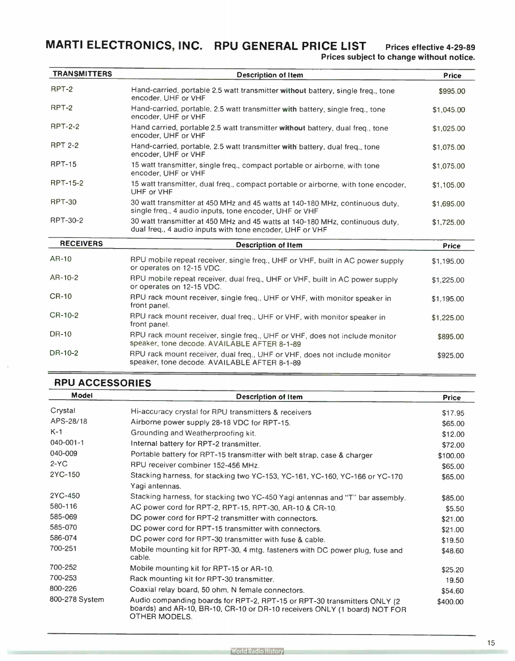MARTI ELECTRONICS, INC. RPU GENERAL PRICE LIST Prices effective 4-29-89 Prices subject to change without notice.

| <b>TRANSMITTERS</b> | <b>Description of Item</b>                                                                                                               | <b>Price</b> |
|---------------------|------------------------------------------------------------------------------------------------------------------------------------------|--------------|
| RPT-2               | Hand-carried, portable 2.5 watt transmitter without battery, single freq., tone<br>encoder, UHF or VHF                                   | \$995.00     |
| RPT-2               | Hand-carried, portable, 2.5 watt transmitter with battery, single freq., tone<br>encoder, UHF or VHF                                     | \$1,045.00   |
| <b>RPT-2-2</b>      | Hand carried, portable 2.5 watt transmitter without battery, dual freq., tone<br>encoder, UHF or VHF                                     | \$1,025.00   |
| <b>RPT 2-2</b>      | Hand-carried, portable, 2.5 watt transmitter with battery, dual freq., tone<br>encoder, UHF or VHF                                       | \$1,075.00   |
| <b>RPT-15</b>       | 15 watt transmitter, single freq., compact portable or airborne, with tone<br>encoder, UHF or VHF                                        | \$1,075.00   |
| <b>RPT-15-2</b>     | 15 watt transmitter, dual freq., compact portable or airborne, with tone encoder,<br>UHF or VHF                                          | \$1,105.00   |
| <b>RPT-30</b>       | 30 watt transmitter at 450 MHz and 45 watts at 140-180 MHz, continuous duty,<br>single freq., 4 audio inputs, tone encoder, UHF or VHF   | \$1,695.00   |
| RPT-30-2            | 30 watt transmitter at 450 MHz and 45 watts at 140-180 MHz, continuous duty,<br>dual freq., 4 audio inputs with tone encoder, UHF or VHF | \$1,725.00   |
| <b>RECEIVERS</b>    | <b>Description of Item</b>                                                                                                               | <b>Price</b> |
| AR-10               | RPU mobile repeat receiver, single freq., UHF or VHF, built in AC power supply<br>or operates on 12-15 VDC.                              | \$1,195.00   |
| AR-10-2             | RPU mobile repeat receiver, dual freq., UHF or VHF, built in AC power supply<br>or operates on 12-15 VDC.                                | \$1,225.00   |
| <b>CR-10</b>        | RPU rack mount receiver, single freq., UHF or VHF, with monitor speaker in<br>front panel.                                               | \$1,195.00   |
| CR-10-2             | RPU rack mount receiver, dual freq., UHF or VHF, with monitor speaker in<br>front panel.                                                 | \$1,225.00   |
| <b>DR-10</b>        | RPU rack mount receiver, single freq., UHF or VHF, does not include monitor<br>speaker, tone decode. AVAILABLE AFTER 8-1-89              | \$895.00     |
| DR-10-2             | RPU rack mount receiver, dual freq., UHF or VHF, does not include monitor                                                                | \$925.00     |

## RPU ACCESSORIES

| <b>Model</b>    | <b>Description of Item</b>                                                                                                                                             | <b>Price</b> |
|-----------------|------------------------------------------------------------------------------------------------------------------------------------------------------------------------|--------------|
| Crystal         | Hi-accuracy crystal for RPU transmitters & receivers                                                                                                                   | \$17.95      |
| APS-28/18       | Airborne power supply 28-18 VDC for RPT-15.                                                                                                                            | \$65.00      |
| $K-1$           | Grounding and Weatherproofing kit.                                                                                                                                     | \$12.00      |
| $040 - 001 - 1$ | Internal battery for RPT-2 transmitter.                                                                                                                                | \$72.00      |
| 040-009         | Portable battery for RPT-15 transmitter with belt strap, case & charger                                                                                                | \$100.00     |
| $2-YC$          | RPU receiver combiner 152-456 MHz.                                                                                                                                     | \$65.00      |
| 2YC-150         | Stacking harness, for stacking two YC-153, YC-161, YC-160, YC-166 or YC-170<br>Yagi antennas.                                                                          | \$65.00      |
| 2YC-450         | Stacking harness, for stacking two YC-450 Yagi antennas and "T" bar assembly.                                                                                          | \$85.00      |
| 580-116         | AC power cord for RPT-2, RPT-15, RPT-30, AR-10 & CR-10.                                                                                                                | \$5.50       |
| 585-069         | DC power cord for RPT-2 transmitter with connectors.                                                                                                                   | \$21.00      |
| 585-070         | DC power cord for RPT-15 transmitter with connectors.                                                                                                                  | \$21.00      |
| 586-074         | DC power cord for RPT-30 transmitter with fuse & cable.                                                                                                                | \$19.50      |
| 700-251         | Mobile mounting kit for RPT-30, 4 mtg. fasteners with DC power plug, fuse and<br>cable.                                                                                | \$48.60      |
| 700-252         | Mobile mounting kit for RPT-15 or AR-10.                                                                                                                               | \$25.20      |
| 700-253         | Rack mounting kit for RPT-30 transmitter.                                                                                                                              | 19.50        |
| 800-226         | Coaxial relay board, 50 ohm, N female connectors.                                                                                                                      | \$54.60      |
| 800-278 System  | Audio companding boards for RPT-2, RPT-15 or RPT-30 transmitters ONLY (2<br>boards) and AR-10, BR-10, CR-10 or DR-10 receivers ONLY (1 board) NOT FOR<br>OTHER MODELS. | \$400.00     |

speaker, tone decode. AVAILABLE AFTER 8-1-89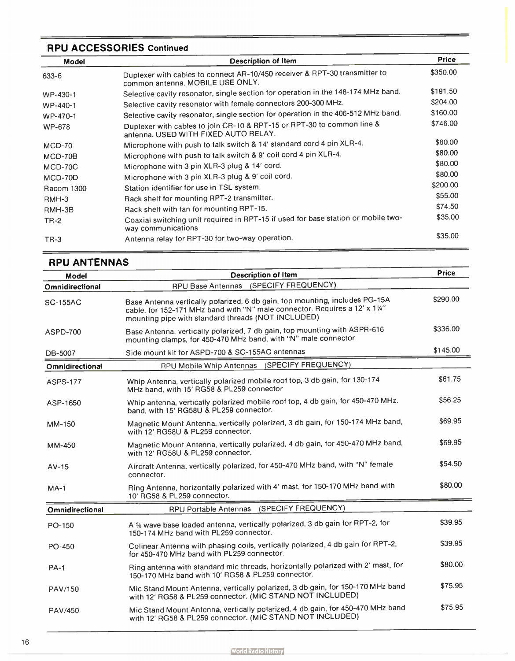## RPU ACCESSORIES Continued

| <b>Model</b> | <b>Description of Item</b>                                                                                     | <b>Price</b> |
|--------------|----------------------------------------------------------------------------------------------------------------|--------------|
| 633-6        | Duplexer with cables to connect AR-10/450 receiver & RPT-30 transmitter to<br>common antenna. MOBILE USE ONLY. | \$350.00     |
| WP-430-1     | Selective cavity resonator, single section for operation in the 148-174 MHz band.                              | \$191.50     |
| WP-440-1     | Selective cavity resonator with female connectors 200-300 MHz.                                                 | \$204.00     |
| WP-470-1     | Selective cavity resonator, single section for operation in the 406-512 MHz band.                              | \$160.00     |
| WP-678       | Duplexer with cables to join CR-10 & RPT-15 or RPT-30 to common line &<br>antenna. USED WITH FIXED AUTO RELAY. | \$746.00     |
| $MCD-70$     | Microphone with push to talk switch & 14' standard cord 4 pin XLR-4.                                           | \$80.00      |
| $MCD-70B$    | Microphone with push to talk switch & 9' coil cord 4 pin XLR-4.                                                | \$80.00      |
| MCD-70C      | Microphone with 3 pin XLR-3 plug & 14' cord.                                                                   | \$80.00      |
| MCD-70D      | Microphone with 3 pin XLR-3 plug & 9' coil cord.                                                               | \$80.00      |
| Racom 1300   | Station identifier for use in TSL system.                                                                      | \$200.00     |
| RMH-3        | Rack shelf for mounting RPT-2 transmitter.                                                                     | \$55.00      |
| RMH-3B       | Rack shelf with fan for mounting RPT-15.                                                                       | \$74.50      |
| $TR-2$       | Coaxial switching unit required in RPT-15 if used for base station or mobile two-<br>way communications        | \$35.00      |
| $TR-3$       | Antenna relay for RPT-30 for two-way operation.                                                                | \$35.00      |

## RPU ANTENNAS

| <b>Model</b>           | <b>Description of Item</b>                                                                                                                                                                                       | <b>Price</b> |
|------------------------|------------------------------------------------------------------------------------------------------------------------------------------------------------------------------------------------------------------|--------------|
| Omnidirectional        | (SPECIFY FREQUENCY)<br>RPU Base Antennas                                                                                                                                                                         |              |
| <b>SC-155AC</b>        | Base Antenna vertically polarized, 6 db gain, top mounting, includes PG-15A<br>cable, for 152-171 MHz band with "N" male connector. Requires a 12' x 11/4"<br>mounting pipe with standard threads (NOT INCLUDED) | \$290.00     |
| <b>ASPD-700</b>        | Base Antenna, vertically polarized, 7 db gain, top mounting with ASPR-616<br>mounting clamps, for 450-470 MHz band, with "N" male connector.                                                                     | \$336.00     |
| DB-5007                | Side mount kit for ASPD-700 & SC-155AC antennas                                                                                                                                                                  | \$145.00     |
| <b>Omnidirectional</b> | (SPECIFY FREQUENCY)<br>RPU Mobile Whip Antennas                                                                                                                                                                  |              |
| <b>ASPS-177</b>        | Whip Antenna, vertically polarized mobile roof top, 3 db gain, for 130-174<br>MHz band, with 15' RG58 & PL259 connector                                                                                          | \$61.75      |
| ASP-1650               | Whip antenna, vertically polarized mobile roof top, 4 db gain, for 450-470 MHz.<br>band, with 15' RG58U & PL259 connector.                                                                                       | \$56.25      |
| MM-150                 | Magnetic Mount Antenna, vertically polarized, 3 db gain, for 150-174 MHz band,<br>with 12' RG58U & PL259 connector.                                                                                              | \$69.95      |
| MM-450                 | Magnetic Mount Antenna, vertically polarized, 4 db gain, for 450-470 MHz band,<br>with 12' RG58U & PL259 connector.                                                                                              | \$69.95      |
| $AV-15$                | Aircraft Antenna, vertically polarized, for 450-470 MHz band, with "N" female<br>connector.                                                                                                                      | \$54.50      |
| $MA-1$                 | Ring Antenna, horizontally polarized with 4' mast, for 150-170 MHz band with<br>10' RG58 & PL259 connector.                                                                                                      | \$80.00      |
| Omnidirectional        | (SPECIFY FREQUENCY)<br><b>RPU Portable Antennas</b>                                                                                                                                                              |              |
| PO-150                 | A % wave base loaded antenna, vertically polarized, 3 db gain for RPT-2, for<br>150-174 MHz band with PL259 connector.                                                                                           | \$39.95      |
| PO-450                 | Colinear Antenna with phasing coils, vertically polarized, 4 db gain for RPT-2,<br>for 450-470 MHz band with PL259 connector.                                                                                    | \$39.95      |
| <b>PA-1</b>            | Ring antenna with standard mic threads, horizontally polarized with 2' mast, for<br>150-170 MHz band with 10' RG58 & PL259 connector.                                                                            | \$80.00      |
| PAV/150                | Mic Stand Mount Antenna, vertically polarized, 3 db gain, for 150-170 MHz band<br>with 12' RG58 & PL259 connector. (MIC STAND NOT INCLUDED)                                                                      | \$75.95      |
| PAV/450                | Mic Stand Mount Antenna, vertically polarized, 4 db gain, for 450-470 MHz band<br>with 12' RG58 & PL259 connector. (MIC STAND NOT INCLUDED)                                                                      | \$75.95      |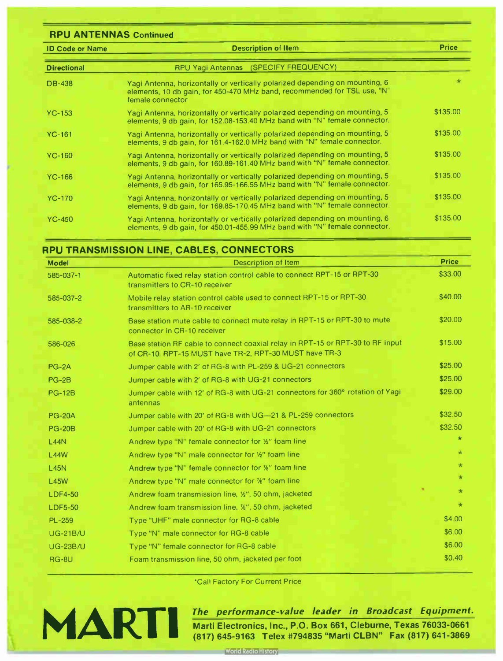## RPU ANTENNAS Continued

| <b>ID Code or Name</b> | <b>Description of Item</b>                                                                                                                                                  | <b>Price</b> |
|------------------------|-----------------------------------------------------------------------------------------------------------------------------------------------------------------------------|--------------|
| <b>Directional</b>     | RPU Yagi Antennas (SPECIFY FREQUENCY)                                                                                                                                       |              |
| <b>DB-438</b>          | Yagi Antenna, horizontally or vertically polarized depending on mounting, 6<br>elements, 10 db gain, for 450-470 MHz band, recommended for TSL use, "N"<br>female connector | $\star$      |
| $YC-153$               | Yagi Antenna, horizontally or vertically polarized depending on mounting, 5<br>elements, 9 db gain, for 152.08-153.40 MHz band with "N" female connector.                   | \$135.00     |
| $YC-161$               | Yagi Antenna, horizontally or vertically polarized depending on mounting, 5<br>elements, 9 db gain, for 161.4-162.0 MHz band with "N" female connector.                     | \$135.00     |
| $YC-160$               | Yagi Antenna, horizontally or vertically polarized depending on mounting, 5<br>elements, 9 db gain, for 160.89-161.40 MHz band with "N" female connector.                   | \$135.00     |
| YC-166                 | Yagi Antenna, horizontally or vertically polarized depending on mounting, 5<br>elements, 9 db gain, for 165.95-166.55 MHz band with "N" female connector.                   | \$135.00     |
| <b>YC-170</b>          | Yagi Antenna, horizontally or vertically polarized depending on mounting, 5<br>elements, 9 db gain, for 169.85-170.45 MHz band with "N" female connector.                   | \$135.00     |
| $YC-450$               | Yagi Antenna, horizontally or vertically polarized depending on mounting, 6<br>elements, 9 db gain, for 450.01-455.99 MHz band with "N" female connector.                   | \$135.00     |

## RPU TRANSMISSION LINE, CABLES, CONNECTORS

| <b>Model</b>    | <b>Description of Item</b>                                                                                                               | <b>Price</b> |
|-----------------|------------------------------------------------------------------------------------------------------------------------------------------|--------------|
| 585-037-1       | Automatic fixed relay station control cable to connect RPT-15 or RPT-30<br>transmitters to CR-10 receiver                                | \$33.00      |
| 585-037-2       | Mobile relay station control cable used to connect RPT-15 or RPT-30<br>transmitters to AR-10 receiver                                    | \$40.00      |
| 585-038-2       | Base station mute cable to connect mute relay in RPT-15 or RPT-30 to mute<br>connector in CR-10 receiver                                 | \$20.00      |
| 586-026         | Base station RF cable to connect coaxial relay in RPT-15 or RPT-30 to RF input<br>of CR-10. RPT-15 MUST have TR-2, RPT-30 MUST have TR-3 | \$15.00      |
| $PG-2A$         | Jumper cable with 2' of RG-8 with PL-259 & UG-21 connectors                                                                              | \$25.00      |
| <b>PG-2B</b>    | Jumper cable with 2' of RG-8 with UG-21 connectors                                                                                       | \$25.00      |
| <b>PG-12B</b>   | Jumper cable with 12' of RG-8 with UG-21 connectors for 360° rotation of Yagi<br>antennas                                                | \$29.00      |
| <b>PG-20A</b>   | Jumper cable with 20' of RG-8 with UG-21 & PL-259 connectors                                                                             | \$32.50      |
| <b>PG-20B</b>   | Jumper cable with 20' of RG-8 with UG-21 connectors                                                                                      | \$32.50      |
| L44N            | Andrew type "N" female connector for 1/2" foam line                                                                                      | $\star$      |
| <b>L44W</b>     | Andrew type "N" male connector for 1/2" foam line                                                                                        | $\star$      |
| L45N            | Andrew type "N" female connector for %" foam line                                                                                        | $\star$      |
| <b>L45W</b>     | Andrew type "N" male connector for %" foam line                                                                                          | $\star$      |
| <b>LDF4-50</b>  | Andrew foam transmission line, 1/2", 50 ohm, jacketed                                                                                    | $\star$      |
| <b>LDF5-50</b>  | Andrew foam transmission line, %", 50 ohm, jacketed                                                                                      | $\star$      |
| <b>PL-259</b>   | Type "UHF" male connector for RG-8 cable                                                                                                 | \$4.00       |
| <b>UG-21B/U</b> | Type "N" male connector for RG-8 cable                                                                                                   | \$6.00       |
| <b>UG-23B/U</b> | Type "N" female connector for RG-8 cable                                                                                                 | \$6.00       |
| <b>RG-8U</b>    | Foam transmission line, 50 ohm, jacketed per foot                                                                                        | \$0.40       |

\*Call Factory For Current Price



## The performance- value leader in Broadcast Equipment.

Marti Electronics, Inc., P.O. Box 661, Cleburne, Texas 76033-0661 (817) 645-9163 Telex #794835 "Marti CLBN" Fax (817) 641-3869